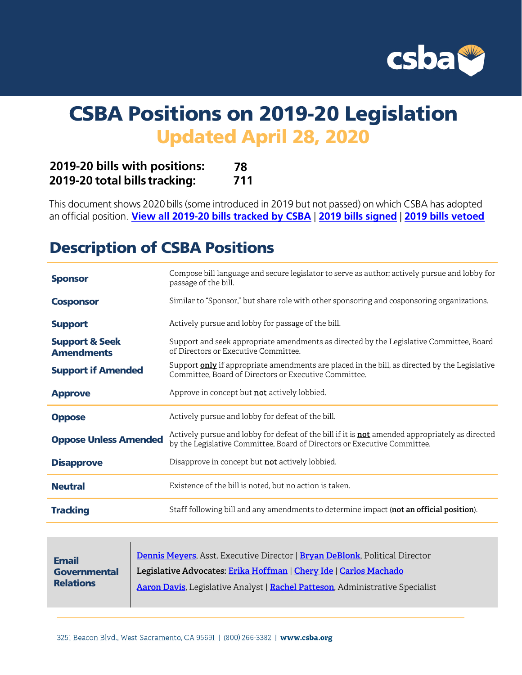

# CSBA Positions on 2019-20 Legislation Updated April 28, 2020

| 2019-20 bills with positions: | 78  |
|-------------------------------|-----|
| 2019-20 total bills tracking: | 711 |

This document shows 2020 bills (some introduced in 2019 but not passed) on which CSBA has adopted an official position. **[View all 2019-20 bills tracked by CSB](http://ctweb.capitoltrack.com/public/publish.aspx?session=19&id=fc6efad4-395f-4222-a9e3-acb0383c0654)A** | **[2019 bills sig](www.csba.org/whatsnewfor2020)ned** | **2019 [bills ve](http://blog.csba.org/2019-vetoes/)toed**

# Description of CSBA Positions

| <b>Sponsor</b>                                 | Compose bill language and secure legislator to serve as author; actively pursue and lobby for<br>passage of the bill.                                                              |
|------------------------------------------------|------------------------------------------------------------------------------------------------------------------------------------------------------------------------------------|
| <b>Cosponsor</b>                               | Similar to "Sponsor," but share role with other sponsoring and cosponsoring organizations.                                                                                         |
| <b>Support</b>                                 | Actively pursue and lobby for passage of the bill.                                                                                                                                 |
| <b>Support &amp; Seek</b><br><b>Amendments</b> | Support and seek appropriate amendments as directed by the Legislative Committee, Board<br>of Directors or Executive Committee.                                                    |
| <b>Support if Amended</b>                      | Support <b>only</b> if appropriate amendments are placed in the bill, as directed by the Legislative<br>Committee. Board of Directors or Executive Committee.                      |
| <b>Approve</b>                                 | Approve in concept but <b>not</b> actively lobbied.                                                                                                                                |
| <b>Oppose</b>                                  | Actively pursue and lobby for defeat of the bill.                                                                                                                                  |
| <b>Oppose Unless Amended</b>                   | Actively pursue and lobby for defeat of the bill if it is <b>not</b> amended appropriately as directed<br>by the Legislative Committee, Board of Directors or Executive Committee. |
| <b>Disapprove</b>                              | Disapprove in concept but <b>not</b> actively lobbied.                                                                                                                             |
| <b>Neutral</b>                                 | Existence of the bill is noted, but no action is taken.                                                                                                                            |
| <b>Tracking</b>                                | Staff following bill and any amendments to determine impact (not an official position).                                                                                            |

| <b>Email</b>     | Dennis Meyers, Asst. Executive Director   Bryan DeBlonk, Political Director   |
|------------------|-------------------------------------------------------------------------------|
| Governmental     | Legislative Advocates: Erika Hoffman   Chery Ide   Carlos Machado             |
| <b>Relations</b> | Aaron Davis, Legislative Analyst   Rachel Patteson, Administrative Specialist |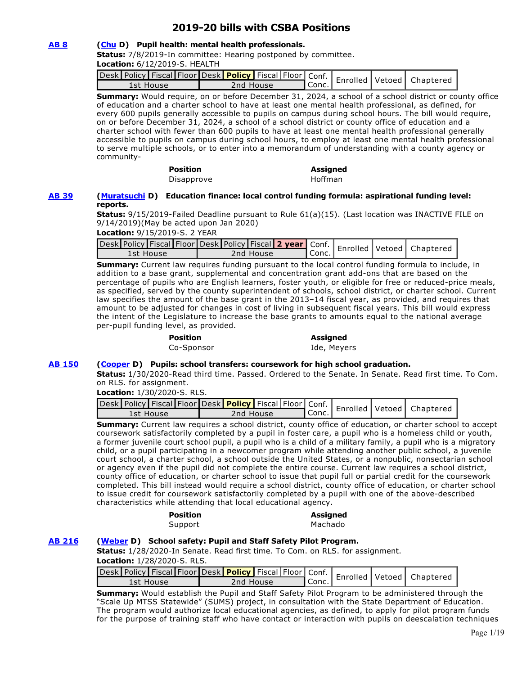# **2019-20 bills with CSBA Positions**

# **[AB 8](http://ctweb.capitoltrack.com/public/publishbillinfo.aspx?bi=YE2uleI2nq5Rr843RghLdeDwFkwRPa9bDfcj8Ug6FJ4iz8%2BBR33puCQNpfNj5nrO) [\(Chu](https://a25.asmdc.org/) D) Pupil health: mental health professionals.**

**Status:** 7/8/2019-In committee: Hearing postponed by committee.

**Location:** 6/12/2019-S. HEALTH

| vesk Policy Fiscal Floor Desk <b>  Policy  </b> Fiscal   Floor   Conf.   Enrolled   Vetoed   Chaptere |           |         |  |  |
|-------------------------------------------------------------------------------------------------------|-----------|---------|--|--|
| 1st House                                                                                             | 2nd House | l Conc. |  |  |

**Summary:** Would require, on or before December 31, 2024, a school of a school district or county office of education and a charter school to have at least one mental health professional, as defined, for every 600 pupils generally accessible to pupils on campus during school hours. The bill would require, on or before December 31, 2024, a school of a school district or county office of education and a charter school with fewer than 600 pupils to have at least one mental health professional generally accessible to pupils on campus during school hours, to employ at least one mental health professional to serve multiple schools, or to enter into a memorandum of understanding with a county agency or community-

> **Position Assigned**  Disapprove Hoffman

### **[AB 39](http://ctweb.capitoltrack.com/public/publishbillinfo.aspx?bi=tUaU0M7f9iVzsRkFKmubMFQzB4FQ51FFfyITxcH%2BdJV8ehrK42CQcYN615L5wh4n) [\(Muratsuchi](https://a66.asmdc.org/) D) Education finance: local control funding formula: aspirational funding level: reports.**

**Status:** 9/15/2019-Failed Deadline pursuant to Rule 61(a)(15). (Last location was INACTIVE FILE on 9/14/2019)(May be acted upon Jan 2020)

|  | Location: 9/15/2019-S. 2 YEAR |  |
|--|-------------------------------|--|
|--|-------------------------------|--|

| wesk Policy Fiscal Floor Desk Policy Fiscal 2 year Conf.   Enrolled Vetoed   Chaptered |  |           |                      |  |  |
|----------------------------------------------------------------------------------------|--|-----------|----------------------|--|--|
| 1st House                                                                              |  | 2nd House | <sup>ष</sup> Conc. . |  |  |

**Summary:** Current law requires funding pursuant to the local control funding formula to include, in addition to a base grant, supplemental and concentration grant add-ons that are based on the percentage of pupils who are English learners, foster youth, or eligible for free or reduced-price meals, as specified, served by the county superintendent of schools, school district, or charter school. Current law specifies the amount of the base grant in the 2013–14 fiscal year, as provided, and requires that amount to be adjusted for changes in cost of living in subsequent fiscal years. This bill would express the intent of the Legislature to increase the base grants to amounts equal to the national average per-pupil funding level, as provided.

| <b>Position</b> |
|-----------------|
| $C_2$ $C_2$     |

**Position Assigned** 

Co-Sponsor Ide, Meyers

# **[AB 150](http://ctweb.capitoltrack.com/public/publishbillinfo.aspx?bi=UzxHtMRyEl9uk2%2FY6%2BwNWMjird%2F3z3kE95TuvYDTd32xhf1%2BTdQNv2c6L0HEIino) [\(Cooper](https://a09.asmdc.org/) D) Pupils: school transfers: coursework for high school graduation.**

**Status:** 1/30/2020-Read third time. Passed. Ordered to the Senate. In Senate. Read first time. To Com. on RLS. for assignment.

**Location:** 1/30/2020-S. RLS.

| Jesk Policy Fiscal Floor Desk Policy Fiscal Floor Conf.   Enrolled   Vetoed   Chapterer |           |           |  |  |
|-----------------------------------------------------------------------------------------|-----------|-----------|--|--|
| 1st House                                                                               | 2nd House | " Conc. I |  |  |

**Summary:** Current law requires a school district, county office of education, or charter school to accept coursework satisfactorily completed by a pupil in foster care, a pupil who is a homeless child or youth, a former juvenile court school pupil, a pupil who is a child of a military family, a pupil who is a migratory child, or a pupil participating in a newcomer program while attending another public school, a juvenile court school, a charter school, a school outside the United States, or a nonpublic, nonsectarian school or agency even if the pupil did not complete the entire course. Current law requires a school district, county office of education, or charter school to issue that pupil full or partial credit for the coursework completed. This bill instead would require a school district, county office of education, or charter school to issue credit for coursework satisfactorily completed by a pupil with one of the above-described characteristics while attending that local educational agency.

Support Machado

# **Position Assigned**

# **[AB 216](http://ctweb.capitoltrack.com/public/publishbillinfo.aspx?bi=DgBwBI3j8PD1V7oObXd1cFNF4rtmbS5pkXPHTyVeG%2FfgzCc2WCTuS8R5kOs4NdiW) [\(Weber](https://a79.asmdc.org/) D) School safety: Pupil and Staff Safety Pilot Program.**

**Status:** 1/28/2020-In Senate. Read first time. To Com. on RLS. for assignment.

**Location:** 1/28/2020-S. RLS.

| Jesk Policy Fiscal Floor Desk <b>Policy</b> Fiscal Floor Conf.   Enrolled Vetoed   Chapterer<br>" Conc.<br>2nd House<br>1st House |  |  |  |  |  |  |
|-----------------------------------------------------------------------------------------------------------------------------------|--|--|--|--|--|--|
|                                                                                                                                   |  |  |  |  |  |  |

**Summary:** Would establish the Pupil and Staff Safety Pilot Program to be administered through the "Scale Up MTSS Statewide" (SUMS) project, in consultation with the State Department of Education. The program would authorize local educational agencies, as defined, to apply for pilot program funds for the purpose of training staff who have contact or interaction with pupils on deescalation techniques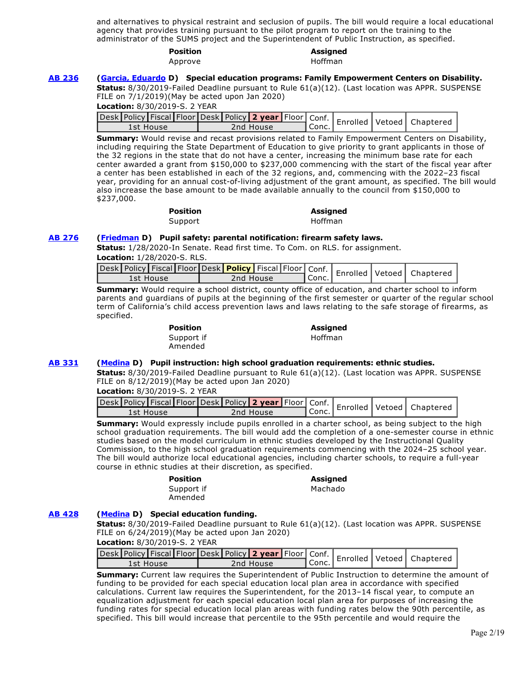and alternatives to physical restraint and seclusion of pupils. The bill would require a local educational agency that provides training pursuant to the pilot program to report on the training to the administrator of the SUMS project and the Superintendent of Public Instruction, as specified.

#### **Position Assigned**  Approve Hoffman

### **[AB 236](http://ctweb.capitoltrack.com/public/publishbillinfo.aspx?bi=oKWgVRmj8gUixxBMmClxQZ4Uxu6zbVWNq4G1zKJfD16P%2F4IIsNfLrlIGQF5a%2BxdK) [\(Garcia, Eduardo](https://a56.asmdc.org/) D) Special education programs: Family Empowerment Centers on Disability.**

**Status:** 8/30/2019-Failed Deadline pursuant to Rule 61(a)(12). (Last location was APPR. SUSPENSE FILE on 7/1/2019)(May be acted upon Jan 2020)

|  |  |  |  |  | Conf.   Enrolled   Vetoed   Chapter 1994   Conf.   Enrolled   Vetoed   Chapter 1994   Manuel   Chapter 1994   Conc.   Enrolled   Vetoed   Chapter 1994   Manuel   Conc.   Enrolled   Vetoed   Chapter 1994   Conc.   Conc. |
|--|--|--|--|--|----------------------------------------------------------------------------------------------------------------------------------------------------------------------------------------------------------------------------|
|  |  |  |  |  |                                                                                                                                                                                                                            |

**Summary:** Would revise and recast provisions related to Family Empowerment Centers on Disability, including requiring the State Department of Education to give priority to grant applicants in those of the 32 regions in the state that do not have a center, increasing the minimum base rate for each center awarded a grant from \$150,000 to \$237,000 commencing with the start of the fiscal year after a center has been established in each of the 32 regions, and, commencing with the 2022–23 fiscal year, providing for an annual cost-of-living adjustment of the grant amount, as specified. The bill would also increase the base amount to be made available annually to the council from \$150,000 to \$237,000.

| <b>Position</b> | <b>Assigned</b> |
|-----------------|-----------------|
| Support         | Hoffman         |

# **[AB 276](http://ctweb.capitoltrack.com/public/publishbillinfo.aspx?bi=FqvcjipsAgg2q5KdmvYySYcMDLpZXU00WSZgeSIPCwpN0XgIfWbA13XH32Ecg%2BhV) [\(Friedman](https://a43.asmdc.org/) D) Pupil safety: parental notification: firearm safety laws.**

**Status:** 1/28/2020-In Senate. Read first time. To Com. on RLS. for assignment. **Location:** 1/28/2020-S. RLS.

| 1st House | 2nd House | ' Conc. . |  |  |
|-----------|-----------|-----------|--|--|

**Summary:** Would require a school district, county office of education, and charter school to inform parents and guardians of pupils at the beginning of the first semester or quarter of the regular school term of California's child access prevention laws and laws relating to the safe storage of firearms, as specified.

| <b>Position</b> |  |
|-----------------|--|
| Support if      |  |
| Amended         |  |

#### **Position Assigned**  Hoffman

# **[AB 331](http://ctweb.capitoltrack.com/public/publishbillinfo.aspx?bi=XlDYqy34oxMq7Ngks1qOFa%2FR01uhAp1dFb%2BRIBuQU%2FpQLwZiyjRseMcPh6KFRbXP) [\(Medina](https://a61.asmdc.org/) D) Pupil instruction: high school graduation requirements: ethnic studies.**

**Status:** 8/30/2019-Failed Deadline pursuant to Rule 61(a)(12). (Last location was APPR. SUSPENSE FILE on 8/12/2019)(May be acted upon Jan 2020)

**Location:** 8/30/2019-S. 2 YEAR

| Jesk Policy Fiscal Floor Desk   Policy 2 year   Floor   Conf.   Enrolled   Vetoed   Chapterer |           |           |  |  |
|-----------------------------------------------------------------------------------------------|-----------|-----------|--|--|
| 1st House                                                                                     | 2nd House | ¶ Conc. . |  |  |

**Summary:** Would expressly include pupils enrolled in a charter school, as being subject to the high school graduation requirements. The bill would add the completion of a one-semester course in ethnic studies based on the model curriculum in ethnic studies developed by the Instructional Quality Commission, to the high school graduation requirements commencing with the 2024–25 school year. The bill would authorize local educational agencies, including charter schools, to require a full-year course in ethnic studies at their discretion, as specified.

**Position Assigned** 

Support if

Machado

Amended

# **[AB 428](http://ctweb.capitoltrack.com/public/publishbillinfo.aspx?bi=JCFDqQLnwZRj8Er27Xp2q%2Fa28kqL5%2FMRAH%2F147%2BfextjgXCPkG7%2BsqJ9Iwcs56Qx) [\(Medina](https://a61.asmdc.org/) D) Special education funding.**

**Status:** 8/30/2019-Failed Deadline pursuant to Rule 61(a)(12). (Last location was APPR. SUSPENSE FILE on 6/24/2019)(May be acted upon Jan 2020)

|  | <b>Location:</b> 8/30/2019-S. 2 YEAR |  |
|--|--------------------------------------|--|
|--|--------------------------------------|--|

|           |  |  |           |         |  | Jesk Policy Fiscal Floor Desk Policy 2 year Floor Conf.   Enrolled Vetoed   Chaptered ' |
|-----------|--|--|-----------|---------|--|-----------------------------------------------------------------------------------------|
| 1st House |  |  | 2nd House | l Conc. |  |                                                                                         |

**Summary:** Current law requires the Superintendent of Public Instruction to determine the amount of funding to be provided for each special education local plan area in accordance with specified calculations. Current law requires the Superintendent, for the 2013–14 fiscal year, to compute an equalization adjustment for each special education local plan area for purposes of increasing the funding rates for special education local plan areas with funding rates below the 90th percentile, as specified. This bill would increase that percentile to the 95th percentile and would require the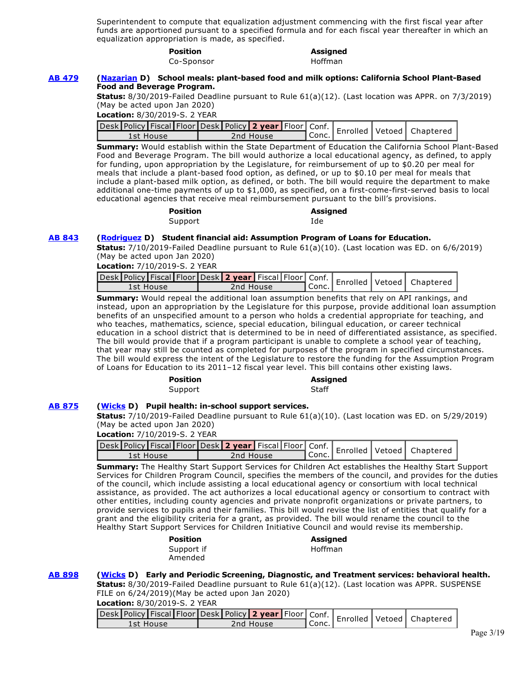Superintendent to compute that equalization adjustment commencing with the first fiscal year after funds are apportioned pursuant to a specified formula and for each fiscal year thereafter in which an equalization appropriation is made, as specified.

#### **Position Assigned**

Co-Sponsor Hoffman

### **[AB 479](http://ctweb.capitoltrack.com/public/publishbillinfo.aspx?bi=iwzRhRadIIZKxLOmShijp1zr9auD%2FzK4TtBIM8Mpups5yYWU%2B%2FcTL8soFA6X%2BSbg) [\(Nazarian](https://a46.asmdc.org/) D) School meals: plant-based food and milk options: California School Plant-Based Food and Beverage Program.**

**Status:** 8/30/2019-Failed Deadline pursuant to Rule 61(a)(12). (Last location was APPR. on 7/3/2019) (May be acted upon Jan 2020)

**Location:** 8/30/2019-S. 2 YEAR

| Jesk Policy Fiscal Floor Desk Policy 2 year Floor Conf.   Enrolled Vetoed   Chapterer |  |           |           |  |  |
|---------------------------------------------------------------------------------------|--|-----------|-----------|--|--|
| 1st House                                                                             |  | 2nd House | I Conc. l |  |  |

**Summary:** Would establish within the State Department of Education the California School Plant-Based Food and Beverage Program. The bill would authorize a local educational agency, as defined, to apply for funding, upon appropriation by the Legislature, for reimbursement of up to \$0.20 per meal for meals that include a plant-based food option, as defined, or up to \$0.10 per meal for meals that include a plant-based milk option, as defined, or both. The bill would require the department to make additional one-time payments of up to \$1,000, as specified, on a first-come-first-served basis to local educational agencies that receive meal reimbursement pursuant to the bill's provisions.

| <b>Position</b> | <b>Assigned</b> |
|-----------------|-----------------|
| Support         | Ide             |

# **[AB 843](http://ctweb.capitoltrack.com/public/publishbillinfo.aspx?bi=3rcPtfa5VkJVWOJNNjfeyfxJKXtsF6RnUl%2FforNyKiYOyt43ROUKdYJNe8Ov7s3x) [\(Rodriguez](https://a52.asmdc.org/) D) Student financial aid: Assumption Program of Loans for Education.**

**Status:** 7/10/2019-Failed Deadline pursuant to Rule 61(a)(10). (Last location was ED. on 6/6/2019) (May be acted upon Jan 2020)

**Location:** 7/10/2019-S. 2 YEAR

| Jesk Policy Fiscal Floor Desk 2 year Fiscal Floor Conf.   Enrolled   Vetoed   Chaptered ' |           |       |  |  |
|-------------------------------------------------------------------------------------------|-----------|-------|--|--|
| Tst House                                                                                 | Znd House | Conc. |  |  |

**Summary:** Would repeal the additional loan assumption benefits that rely on API rankings, and instead, upon an appropriation by the Legislature for this purpose, provide additional loan assumption benefits of an unspecified amount to a person who holds a credential appropriate for teaching, and who teaches, mathematics, science, special education, bilingual education, or career technical education in a school district that is determined to be in need of differentiated assistance, as specified. The bill would provide that if a program participant is unable to complete a school year of teaching, that year may still be counted as completed for purposes of the program in specified circumstances. The bill would express the intent of the Legislature to restore the funding for the Assumption Program of Loans for Education to its 2011–12 fiscal year level. This bill contains other existing laws.

| <b>Position</b> | Assio |
|-----------------|-------|
| Support         | Staff |

**Position Assigned** 

# **[AB 875](http://ctweb.capitoltrack.com/public/publishbillinfo.aspx?bi=lvTQibXaTUe4qM8b3tB740MVlzL0QfG8bFPW12fWBLfY2YF1EL4M0IZWn87XtiBK) [\(Wicks](https://a15.asmdc.org/) D) Pupil health: in-school support services.**

**Status:** 7/10/2019-Failed Deadline pursuant to Rule 61(a)(10). (Last location was ED. on 5/29/2019) (May be acted upon Jan 2020)

| Jesk Policy Fiscal Floor Desk 2 year Fiscal Floor Conf.   Enrolled   Vetoed   Chaptere |           |         |  |  |
|----------------------------------------------------------------------------------------|-----------|---------|--|--|
| 1st House                                                                              | 2nd House | l Conc. |  |  |

**Summary:** The Healthy Start Support Services for Children Act establishes the Healthy Start Support Services for Children Program Council, specifies the members of the council, and provides for the duties of the council, which include assisting a local educational agency or consortium with local technical assistance, as provided. The act authorizes a local educational agency or consortium to contract with other entities, including county agencies and private nonprofit organizations or private partners, to provide services to pupils and their families. This bill would revise the list of entities that qualify for a grant and the eligibility criteria for a grant, as provided. The bill would rename the council to the Healthy Start Support Services for Children Initiative Council and would revise its membership.

| <b>Position</b> | <b>Assigned</b> |
|-----------------|-----------------|
| Support if      | Hoffman         |
| Amended         |                 |

# **[AB 898](http://ctweb.capitoltrack.com/public/publishbillinfo.aspx?bi=En0ZLtdNeO9KxUBRlTdAGDUygNuJ5FmM6sEDZqy4enwt8EcyRjJyimVf0cXHcZXG) [\(Wicks](https://a15.asmdc.org/) D) Early and Periodic Screening, Diagnostic, and Treatment services: behavioral health.**

**Status:** 8/30/2019-Failed Deadline pursuant to Rule 61(a)(12). (Last location was APPR. SUSPENSE FILE on 6/24/2019)(May be acted upon Jan 2020)

**Location:** 8/30/2019-S. 2 YEAR

| cesk Policy Fiscal Floor Desk Policy 2 year Floor Conf.   Enrolled Vetoed   Chaptere |           |           |  |  |
|--------------------------------------------------------------------------------------|-----------|-----------|--|--|
| 1st House                                                                            | 2nd House | l Conc. I |  |  |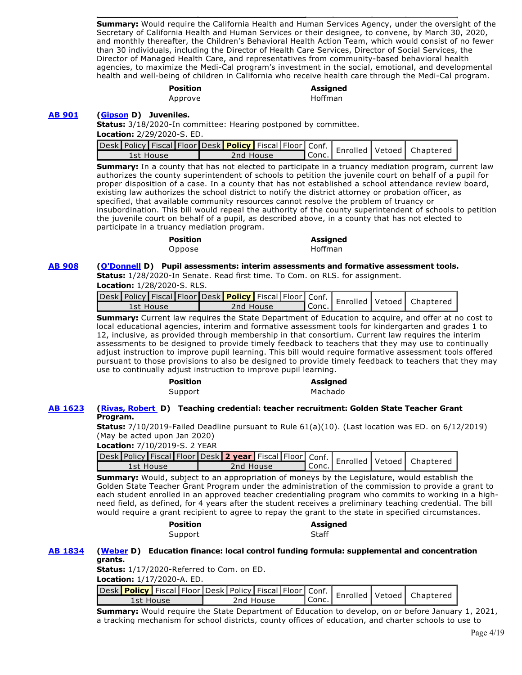**Summary:** Would require the California Health and Human Services Agency, under the oversight of the Secretary of California Health and Human Services or their designee, to convene, by March 30, 2020, and monthly thereafter, the Children's Behavioral Health Action Team, which would consist of no fewer than 30 individuals, including the Director of Health Care Services, Director of Social Services, the Director of Managed Health Care, and representatives from community-based behavioral health agencies, to maximize the Medi-Cal program's investment in the social, emotional, and developmental health and well-being of children in California who receive health care through the Medi-Cal program.

# **Position Assigned**

Approve **Hoffman** 

**[AB 901](http://ctweb.capitoltrack.com/public/publishbillinfo.aspx?bi=RghHbWpPcEieich4rkf9E6HxWWAW90c%2BAE9rQuVZxF5Th%2Ba5963Qeft2TX1%2FyBU4) [\(Gipson](https://a64.asmdc.org/) D) Juveniles.**

**Status:** 3/18/2020-In committee: Hearing postponed by committee.

**Location:** 2/29/2020-S. ED.

| vesk Policy   Fiscal   Floor Desk   Policy   Fiscal   Floor   Conf.   Enrolled   Vetoed   Chaptered |           |        |  |  |
|-----------------------------------------------------------------------------------------------------|-----------|--------|--|--|
| 1st House                                                                                           | 2nd House | ¶Conc. |  |  |

**Summary:** In a county that has not elected to participate in a truancy mediation program, current law authorizes the county superintendent of schools to petition the juvenile court on behalf of a pupil for proper disposition of a case. In a county that has not established a school attendance review board, existing law authorizes the school district to notify the district attorney or probation officer, as specified, that available community resources cannot resolve the problem of truancy or insubordination. This bill would repeal the authority of the county superintendent of schools to petition the juvenile court on behalf of a pupil, as described above, in a county that has not elected to participate in a truancy mediation program.

| Position | <b>Assigne</b> |
|----------|----------------|
| Oppose   | Hoffman        |

**Position Assigned** 

### **[AB 908](http://ctweb.capitoltrack.com/public/publishbillinfo.aspx?bi=d34F9gfvRnv8hT2Qhnz2tOcuaf%2FeJkKMFz9VNtstGeVu82Ps74IvHdS82RpI9ejo) [\(O'Donnell](https://a70.asmdc.org/) D) Pupil assessments: interim assessments and formative assessment tools.**

**Status:** 1/28/2020-In Senate. Read first time. To Com. on RLS. for assignment.

| <b>Location:</b> 1/28/2020-S. RLS. |  |
|------------------------------------|--|
|                                    |  |

| -esk Policy <mark>  Fiscal   Floor   Desk <b>  Policy  </b> Fiscal   Floor  </mark> Conf.   Enrolled   Vetoed   Chaptere |           |         |  |  |
|--------------------------------------------------------------------------------------------------------------------------|-----------|---------|--|--|
| 1st House                                                                                                                | 2nd House | l Conc. |  |  |

**Summary:** Current law requires the State Department of Education to acquire, and offer at no cost to local educational agencies, interim and formative assessment tools for kindergarten and grades 1 to 12, inclusive, as provided through membership in that consortium. Current law requires the interim assessments to be designed to provide timely feedback to teachers that they may use to continually adjust instruction to improve pupil learning. This bill would require formative assessment tools offered pursuant to those provisions to also be designed to provide timely feedback to teachers that they may use to continually adjust instruction to improve pupil learning.

# **Position Assigned**

Support Machado

# **[AB 1623](http://ctweb.capitoltrack.com/public/publishbillinfo.aspx?bi=qKwPcXN0HuWaC4%2BNyCNYNG15m8vtuR99DFzVeugbT%2BZskKAjopB%2FxG9uHAIbaAz5) [\(Rivas, Robert](https://a30.asmdc.org/)  D) Teaching credential: teacher recruitment: Golden State Teacher Grant Program.**

**Status:** 7/10/2019-Failed Deadline pursuant to Rule 61(a)(10). (Last location was ED. on 6/12/2019) (May be acted upon Jan 2020)

**Location:** 7/10/2019-S. 2 YEAR

| Jesk Policy Fiscal Floor Desk 2 year Fiscal Floor Conf.   Enrolled Vetoed   Chapterer |  |           |  |         |  |  |
|---------------------------------------------------------------------------------------|--|-----------|--|---------|--|--|
| 1st House                                                                             |  | 2nd House |  | l Conc. |  |  |
|                                                                                       |  |           |  |         |  |  |

**Summary:** Would, subject to an appropriation of moneys by the Legislature, would establish the Golden State Teacher Grant Program under the administration of the commission to provide a grant to each student enrolled in an approved teacher credentialing program who commits to working in a highneed field, as defined, for 4 years after the student receives a preliminary teaching credential. The bill would require a grant recipient to agree to repay the grant to the state in specified circumstances.

# **Position Assigned**  Support Staff

# **[AB 1834](http://ctweb.capitoltrack.com/public/publishbillinfo.aspx?bi=qur0uYvVEIwKMmT29zWxt9u%2FowsNvdfofr%2FQFkLp70DElb9K3z%2BfVREOJgxVz6jz) [\(Weber](https://a79.asmdc.org/) D) Education finance: local control funding formula: supplemental and concentration grants.**

**Status:** 1/17/2020-Referred to Com. on ED.

**Location:** 1/17/2020-A. ED.

|           | wesk Policy   Fiscal   Floor   Desk   Policy   Fiscal   Floor   Conf.   Enrolled   Vetoed   Chaptere |         |  |  |
|-----------|------------------------------------------------------------------------------------------------------|---------|--|--|
| 1st House | 2nd House                                                                                            | ' Conc. |  |  |

**Summary:** Would require the State Department of Education to develop, on or before January 1, 2021, a tracking mechanism for school districts, county offices of education, and charter schools to use to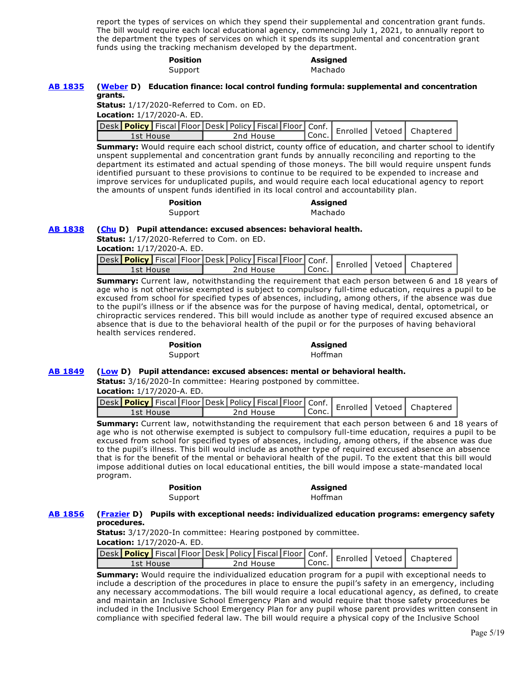report the types of services on which they spend their supplemental and concentration grant funds. The bill would require each local educational agency, commencing July 1, 2021, to annually report to the department the types of services on which it spends its supplemental and concentration grant funds using the tracking mechanism developed by the department.

# **Position Assigned**

Support Machado

### **[AB 1835](http://ctweb.capitoltrack.com/public/publishbillinfo.aspx?bi=xrAJguGBEsF6%2FSqo7p0KtDftVh8hxLGy9WmZhC3Ro%2Bi9vs8QG3zMSCv3Kr1JZSnw) [\(Weber](https://a79.asmdc.org/) D) Education finance: local control funding formula: supplemental and concentration grants.**

**Status:** 1/17/2020-Referred to Com. on ED.

**Location:** 1/17/2020-A. ED.

|           | Jesk Policy   Fiscal Floor Desk   Policy   Fiscal   Floor   Conf.   Enrolled   Vetoed   Chapterer |         |  |  |
|-----------|---------------------------------------------------------------------------------------------------|---------|--|--|
| 1st House | 2nd House                                                                                         | ' Conc. |  |  |

**Summary:** Would require each school district, county office of education, and charter school to identify unspent supplemental and concentration grant funds by annually reconciling and reporting to the department its estimated and actual spending of those moneys. The bill would require unspent funds identified pursuant to these provisions to continue to be required to be expended to increase and improve services for unduplicated pupils, and would require each local educational agency to report the amounts of unspent funds identified in its local control and accountability plan.

| <b>Position</b> | <b>Assigned</b> |
|-----------------|-----------------|
| Support         | Machado         |

# **[AB 1838](http://ctweb.capitoltrack.com/public/publishbillinfo.aspx?bi=Ep4CdR%2BVDc%2BlpyQt0Gt9KOkPILVWBNHoKE%2BnIaudVphpHi05Dj0fxTA1WW9o5AUh) [\(Chu](https://a25.asmdc.org/) D) Pupil attendance: excused absences: behavioral health.**

**Status:** 1/17/2020-Referred to Com. on ED.

**Location:** 1/17/2020-A. ED.

| Jesk Policy   Fiscal Floor   Desk   Policy   Fiscal   Floor   Conf.   Enrolled   Vetoed   Chapterer<br>1st House | 2nd House | ' Conc. |  |  |
|------------------------------------------------------------------------------------------------------------------|-----------|---------|--|--|

**Summary:** Current law, notwithstanding the requirement that each person between 6 and 18 years of age who is not otherwise exempted is subject to compulsory full-time education, requires a pupil to be excused from school for specified types of absences, including, among others, if the absence was due to the pupil's illness or if the absence was for the purpose of having medical, dental, optometrical, or chiropractic services rendered. This bill would include as another type of required excused absence an absence that is due to the behavioral health of the pupil or for the purposes of having behavioral health services rendered.

# **Position Assigned**

Support Hoffman

### **[AB 1849](http://ctweb.capitoltrack.com/public/publishbillinfo.aspx?bi=1T2eTfSD7vlf4o5OJk2GiGQnfNnq7GvYOAPGIDkqhgoPvKHOdo%2FnBZBWVTyRaT%2F8) [\(Low](https://a28.asmdc.org/) D) Pupil attendance: excused absences: mental or behavioral health.**

**Status:** 3/16/2020-In committee: Hearing postponed by committee.

**Location:** 1/17/2020-A. ED.

| Jesk Policy   Fiscal Floor Desk   Policy   Fiscal   Floor   Conf.   Enrolled   Vetoed   Chapterer |           |         |  |  |
|---------------------------------------------------------------------------------------------------|-----------|---------|--|--|
| 1st House                                                                                         | 2nd House | ' Conc. |  |  |

**Summary:** Current law, notwithstanding the requirement that each person between 6 and 18 years of age who is not otherwise exempted is subject to compulsory full-time education, requires a pupil to be excused from school for specified types of absences, including, among others, if the absence was due to the pupil's illness. This bill would include as another type of required excused absence an absence that is for the benefit of the mental or behavioral health of the pupil. To the extent that this bill would impose additional duties on local educational entities, the bill would impose a state-mandated local program.

# **Position Assigned**

Support Hoffman

# **[AB 1856](http://ctweb.capitoltrack.com/public/publishbillinfo.aspx?bi=Hq8jBM8H5avIEDt8%2FnzQlnDopLS3scq6yvSxmim1DC0KW7Zy8fiBMxdI7qGGP9M0) [\(Frazier](https://a11.asmdc.org/) D) Pupils with exceptional needs: individualized education programs: emergency safety procedures.**

**Status:** 3/17/2020-In committee: Hearing postponed by committee. **Location:** 1/17/2020-A. ED.

| Sesk Policy   Fiscal Floor Desk   Policy   Fiscal   Floor   Conf.   Enrolled   Vetoed   Chaptered |  |           |       |  |  |
|---------------------------------------------------------------------------------------------------|--|-----------|-------|--|--|
| 1st House                                                                                         |  | 2nd House | Conc. |  |  |

**Summary:** Would require the individualized education program for a pupil with exceptional needs to include a description of the procedures in place to ensure the pupil's safety in an emergency, including any necessary accommodations. The bill would require a local educational agency, as defined, to create and maintain an Inclusive School Emergency Plan and would require that those safety procedures be included in the Inclusive School Emergency Plan for any pupil whose parent provides written consent in compliance with specified federal law. The bill would require a physical copy of the Inclusive School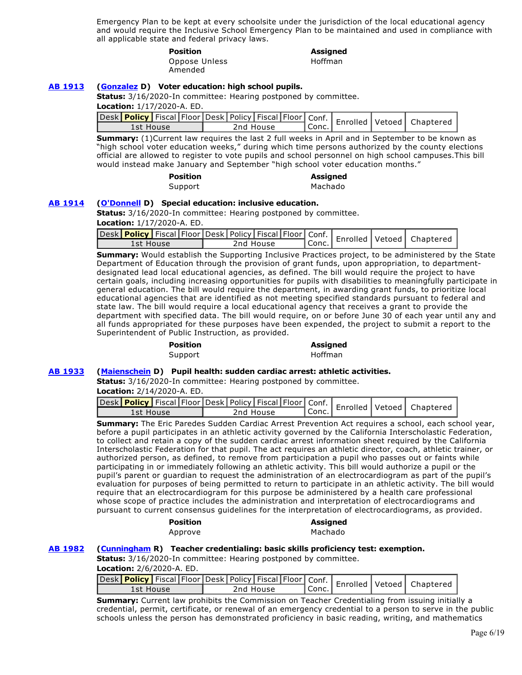Emergency Plan to be kept at every schoolsite under the jurisdiction of the local educational agency and would require the Inclusive School Emergency Plan to be maintained and used in compliance with all applicable state and federal privacy laws.

> **Position Assigned**  Oppose Unless Amended

Hoffman

# **[AB 1913](http://ctweb.capitoltrack.com/public/publishbillinfo.aspx?bi=uBTgN3s%2FzXowTFEeqyvjEGEtINgKeknxWW2Mfq96feaBa36rJIe1HRe6brDBUBWx) [\(Gonzalez](https://a80.asmdc.org/) D) Voter education: high school pupils.**

**Status:** 3/16/2020-In committee: Hearing postponed by committee.

**Location:** 1/17/2020-A. ED.

| Desk Policy Fiscal Floor Desk Policy Fiscal Floor Conf.   Enrolled   Vetoed   Chapterer |  |           |         |  |  |
|-----------------------------------------------------------------------------------------|--|-----------|---------|--|--|
| 1st House                                                                               |  | 2nd House | ' Conc. |  |  |

**Summary:** (1)Current law requires the last 2 full weeks in April and in September to be known as "high school voter education weeks," during which time persons authorized by the county elections official are allowed to register to vote pupils and school personnel on high school campuses.This bill would instead make January and September "high school voter education months."

> **Position Assigned**  Support Machado

### **[AB 1914](http://ctweb.capitoltrack.com/public/publishbillinfo.aspx?bi=JRfK6xo6KdDKVYJ5DPOZVfEKnS9AgOGQwCKsRWVhEQiJRykLEStADWyvTmlc%2BteN) [\(O'Donnell](https://a70.asmdc.org/) D) Special education: inclusive education.**

**Status:** 3/16/2020-In committee: Hearing postponed by committee.

**Location:** 1/17/2020-A. ED.

| Jesk Policy Fiscal Floor Desk Policy Fiscal Floor Conf.   Enrolled Vetoed   Chapterer |           |       |  |  |
|---------------------------------------------------------------------------------------|-----------|-------|--|--|
| 1st House                                                                             | 2nd House | Conc. |  |  |

**Summary:** Would establish the Supporting Inclusive Practices project, to be administered by the State Department of Education through the provision of grant funds, upon appropriation, to departmentdesignated lead local educational agencies, as defined. The bill would require the project to have certain goals, including increasing opportunities for pupils with disabilities to meaningfully participate in general education. The bill would require the department, in awarding grant funds, to prioritize local educational agencies that are identified as not meeting specified standards pursuant to federal and state law. The bill would require a local educational agency that receives a grant to provide the department with specified data. The bill would require, on or before June 30 of each year until any and all funds appropriated for these purposes have been expended, the project to submit a report to the Superintendent of Public Instruction, as provided.

#### **Position Assigned**

Support Hoffman

# **[AB 1933](http://ctweb.capitoltrack.com/public/publishbillinfo.aspx?bi=81RnZ9%2FEfM1LRSviRl6HoEEJBn%2B2B1DuZ8DeQybTmgur2FLnvMlTLZJhSMQI5jE5) [\(Maienschein](https://a77.asmdc.org/) D) Pupil health: sudden cardiac arrest: athletic activities.**

**Status:** 3/16/2020-In committee: Hearing postponed by committee.

**Location:** 2/14/2020-A. ED.

| Jesk Policy   Fiscal Floor   Desk   Policy   Fiscal   Floor   Conf.   Enrolled   Vetoed   Chapterer |           |         |  |  |
|-----------------------------------------------------------------------------------------------------|-----------|---------|--|--|
| 1st House                                                                                           | 2nd House | ' Conc. |  |  |

**Summary:** The Eric Paredes Sudden Cardiac Arrest Prevention Act requires a school, each school year, before a pupil participates in an athletic activity governed by the California Interscholastic Federation, to collect and retain a copy of the sudden cardiac arrest information sheet required by the California Interscholastic Federation for that pupil. The act requires an athletic director, coach, athletic trainer, or authorized person, as defined, to remove from participation a pupil who passes out or faints while participating in or immediately following an athletic activity. This bill would authorize a pupil or the pupil's parent or guardian to request the administration of an electrocardiogram as part of the pupil's evaluation for purposes of being permitted to return to participate in an athletic activity. The bill would require that an electrocardiogram for this purpose be administered by a health care professional whose scope of practice includes the administration and interpretation of electrocardiograms and pursuant to current consensus guidelines for the interpretation of electrocardiograms, as provided.

| <b>Position</b> | <b>Assigned</b> |
|-----------------|-----------------|
| Approve         | Machado         |

# **[AB 1982](http://ctweb.capitoltrack.com/public/publishbillinfo.aspx?bi=UVlY0aK8%2BKzwjeaRica3ni0hVRRVSf%2FeiGPr1enYBfvTBjqm79eJWNQ9bbgk24HZ) [\(Cunningham](https://ad35.asmrc.org/) R) Teacher credentialing: basic skills proficiency test: exemption.**

**Status:** 3/16/2020-In committee: Hearing postponed by committee.

| <b>Location:</b> 2/6/2020-A. ED. |  |  |
|----------------------------------|--|--|
|                                  |  |  |

|           |  |           |  |       |  | Jesk Policy   Fiscal Floor Desk   Policy   Fiscal   Floor   Conf.   Enrolled   Vetoed   Chapterer |
|-----------|--|-----------|--|-------|--|---------------------------------------------------------------------------------------------------|
| 1st House |  | 2nd House |  | Conc. |  |                                                                                                   |

**Summary:** Current law prohibits the Commission on Teacher Credentialing from issuing initially a credential, permit, certificate, or renewal of an emergency credential to a person to serve in the public schools unless the person has demonstrated proficiency in basic reading, writing, and mathematics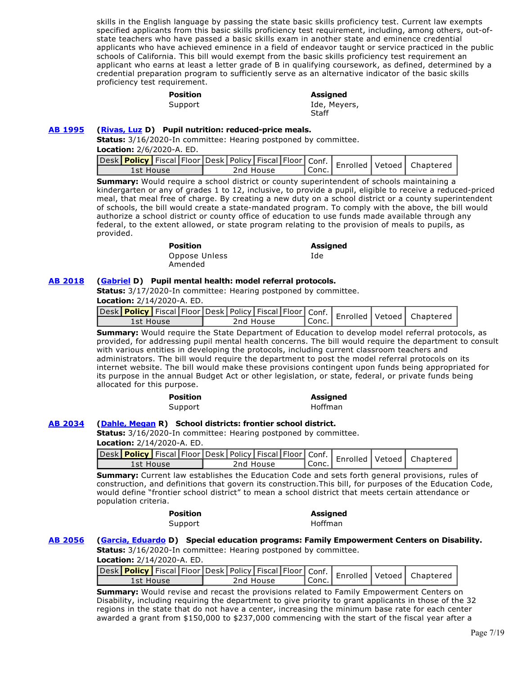skills in the English language by passing the state basic skills proficiency test. Current law exempts specified applicants from this basic skills proficiency test requirement, including, among others, out-ofstate teachers who have passed a basic skills exam in another state and eminence credential applicants who have achieved eminence in a field of endeavor taught or service practiced in the public schools of California. This bill would exempt from the basic skills proficiency test requirement an applicant who earns at least a letter grade of B in qualifying coursework, as defined, determined by a credential preparation program to sufficiently serve as an alternative indicator of the basic skills proficiency test requirement.

# **Position Assigned**

# Support and Ide, Meyers, **Staff**

## **[AB 1995](http://ctweb.capitoltrack.com/public/publishbillinfo.aspx?bi=q1tHbnZL%2BztK7QhMcKx4U5yOtrSuntojdP39cO9audccUXzA%2BoGrxg%2BmBCtHIJdH) [\(Rivas, Luz](https://a39.asmdc.org/) D) Pupil nutrition: reduced-price meals.**

**Status:** 3/16/2020-In committee: Hearing postponed by committee. **Location:** 2/6/2020-A. ED.

| Jesk Policy Fiscal Floor Desk Policy Fiscal Floor Conf.   Enrolled Vetoed   Chapterer |           |       |  |  |
|---------------------------------------------------------------------------------------|-----------|-------|--|--|
| 1st House                                                                             | 2nd House | Conc. |  |  |

**Summary:** Would require a school district or county superintendent of schools maintaining a kindergarten or any of grades 1 to 12, inclusive, to provide a pupil, eligible to receive a reduced-priced meal, that meal free of charge. By creating a new duty on a school district or a county superintendent of schools, the bill would create a state-mandated program. To comply with the above, the bill would authorize a school district or county office of education to use funds made available through any federal, to the extent allowed, or state program relating to the provision of meals to pupils, as provided.

| <b>Position</b> | Assigned |
|-----------------|----------|
| Oppose Unless   | Ide.     |
| Amended         |          |

# **[AB 2018](http://ctweb.capitoltrack.com/public/publishbillinfo.aspx?bi=4mJhKK4EROiqX3Vy8JIwAeqo58YOvN%2F8JyTk5c9wtuIoPb7EPhEesDlO0jsDUKtv) [\(Gabriel](https://a45.asmdc.org/) D) Pupil mental health: model referral protocols.**

**Status:** 3/17/2020-In committee: Hearing postponed by committee.

**Location:** 2/14/2020-A. ED.

| Jesk Policy   Fiscal Floor Desk   Policy   Fiscal   Floor   Conf.   Enrolled   Vetoed   Chapterer |  |           |           |  |  |
|---------------------------------------------------------------------------------------------------|--|-----------|-----------|--|--|
| 1st House                                                                                         |  | 2nd House | $'$ Conc. |  |  |

**Summary:** Would require the State Department of Education to develop model referral protocols, as provided, for addressing pupil mental health concerns. The bill would require the department to consult with various entities in developing the protocols, including current classroom teachers and administrators. The bill would require the department to post the model referral protocols on its internet website. The bill would make these provisions contingent upon funds being appropriated for its purpose in the annual Budget Act or other legislation, or state, federal, or private funds being allocated for this purpose.

| <b>Position</b> | <b>Assigned</b> |
|-----------------|-----------------|
| Support         | Hoffman         |

# **[AB 2034](http://ctweb.capitoltrack.com/public/publishbillinfo.aspx?bi=gk2HL4bzOsfy97JfiH3s9Lb5%2BQ%2F7ZRwx4RjrT2SDjedNT1rJ%2FT4Jx6kHsuiHRf3%2F) [\(Dahle, Megan](https://ad01.asmrc.org/) R) School districts: frontier school district.**

**Status:** 3/16/2020-In committee: Hearing postponed by committee.

**Location:** 2/14/2020-A. ED.

| Desk Policy Fiscal Floor Desk Policy Fiscal Floor Conf.   Enrolled Vetoed   Chaptered |  |  |  |           |  |  |         |  |  |  |
|---------------------------------------------------------------------------------------|--|--|--|-----------|--|--|---------|--|--|--|
|                                                                                       |  |  |  |           |  |  |         |  |  |  |
| 1st House                                                                             |  |  |  | 2nd House |  |  | ' Conc. |  |  |  |
|                                                                                       |  |  |  |           |  |  |         |  |  |  |

**Summary:** Current law establishes the Education Code and sets forth general provisions, rules of construction, and definitions that govern its construction.This bill, for purposes of the Education Code, would define "frontier school district" to mean a school district that meets certain attendance or population criteria.

Support Hoffman

# **Position Assigned**

### **[AB 2056](http://ctweb.capitoltrack.com/public/publishbillinfo.aspx?bi=AfKh7zk8F6AExDf50fhABcGTSjW9hpyLIBSScfIPzRCG%2FLUg54Rd6XdqrqlSD6St) [\(Garcia, Eduardo](https://a56.asmdc.org/) D) Special education programs: Family Empowerment Centers on Disability. Status:** 3/16/2020-In committee: Hearing postponed by committee.

**Location:** 2/14/2020-A. ED.

|           |  |  |           |         |  | Jesk Policy Fiscal Floor Desk Policy Fiscal Floor Conf.   Enrolled Vetoed   Chapterer |
|-----------|--|--|-----------|---------|--|---------------------------------------------------------------------------------------|
| 1st House |  |  | 2nd House | ' Conc. |  |                                                                                       |
|           |  |  |           |         |  |                                                                                       |

**Summary:** Would revise and recast the provisions related to Family Empowerment Centers on Disability, including requiring the department to give priority to grant applicants in those of the 32 regions in the state that do not have a center, increasing the minimum base rate for each center awarded a grant from \$150,000 to \$237,000 commencing with the start of the fiscal year after a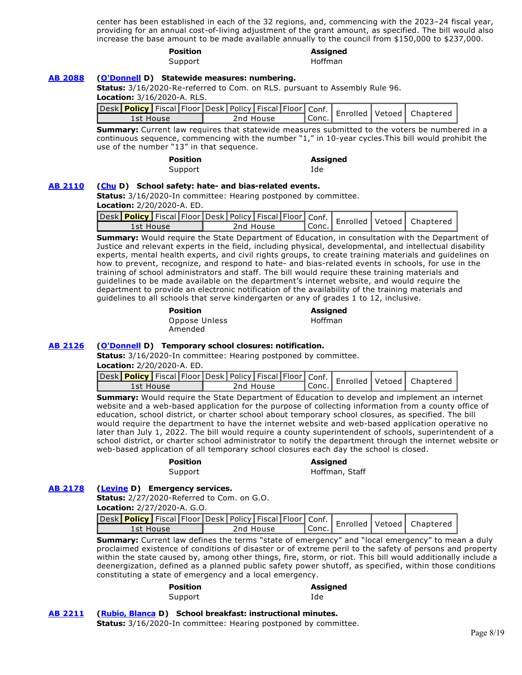center has been established in each of the 32 regions, and, commencing with the 2023–24 fiscal year, providing for an annual cost-of-living adjustment of the grant amount, as specified. The bill would also increase the base amount to be made available annually to the council from \$150,000 to \$237,000.

|  | SITI |  | r<br>п |  |
|--|------|--|--------|--|
|  |      |  |        |  |

# **Position Assigned**

Support Hoffman

### **[AB 2088](http://ctweb.capitoltrack.com/public/publishbillinfo.aspx?bi=ME35nc7utzypZXUrmiFyc%2Bc5oVc2naTsNLL%2BaED0qZY5rrqex6t4telIBpdJF8cc) [\(O'Donnell](https://a70.asmdc.org/) D) Statewide measures: numbering.**

**Status:** 3/16/2020-Re-referred to Com. on RLS. pursuant to Assembly Rule 96. **Location:** 3/16/2020-A. RLS.

|           |  |           |  |         |  | Desk Policy Fiscal Floor Desk Policy Fiscal Floor Conf.   Enrolled Vetoed   Chaptered |
|-----------|--|-----------|--|---------|--|---------------------------------------------------------------------------------------|
| 1st House |  | 2nd House |  | ' Conc. |  |                                                                                       |

**Summary:** Current law requires that statewide measures submitted to the voters be numbered in a continuous sequence, commencing with the number "1," in 10-year cycles.This bill would prohibit the use of the number "13" in that sequence.

| <b>Position</b> | Ass |
|-----------------|-----|
| Support         | Ide |

**Position Assigned** 

### **[AB 2110](http://ctweb.capitoltrack.com/public/publishbillinfo.aspx?bi=y7XRte7l64zW3yYTAZKeeNnQbpewn%2FTR0ZaBcez3QnxxfvjTDWvMSz9C3Ay%2FgzeK) [\(Chu](https://a25.asmdc.org/) D) School safety: hate- and bias-related events.**

**Status:** 3/16/2020-In committee: Hearing postponed by committee.

**Location:** 2/20/2020-A. ED.

|           |  |           |  |         |  | Jesk Policy Fiscal Floor Desk Policy Fiscal Floor Conf.   Enrolled Vetoed   Chaptere |
|-----------|--|-----------|--|---------|--|--------------------------------------------------------------------------------------|
| 1st House |  | 2nd House |  | l Conc. |  |                                                                                      |

**Summary:** Would require the State Department of Education, in consultation with the Department of Justice and relevant experts in the field, including physical, developmental, and intellectual disability experts, mental health experts, and civil rights groups, to create training materials and guidelines on how to prevent, recognize, and respond to hate- and bias-related events in schools, for use in the training of school administrators and staff. The bill would require these training materials and guidelines to be made available on the department's internet website, and would require the department to provide an electronic notification of the availability of the training materials and guidelines to all schools that serve kindergarten or any of grades 1 to 12, inclusive.

| Position      |  |
|---------------|--|
| Oppose Unless |  |
| Amended       |  |

#### **Position Assigned**  Hoffman

### **[AB 2126](http://ctweb.capitoltrack.com/public/publishbillinfo.aspx?bi=H%2B2jPJJOrTnwRhtJpcvMZY9e6YaJ5CbOJiFmrE0RGTN1wOFgVP8%2Bp%2B4%2FVAt4GfWu) [\(O'Donnell](https://a70.asmdc.org/) D) Temporary school closures: notification.**

**Status:** 3/16/2020-In committee: Hearing postponed by committee.

**Location:** 2/20/2020-A. ED.

| Jesk Policy   Fiscal Floor Desk   Policy   Fiscal   Floor   Conf.   Enrolled   Vetoed   Chaptered |           |         |  |  |
|---------------------------------------------------------------------------------------------------|-----------|---------|--|--|
| 1st House                                                                                         | 2nd House | ' Conc. |  |  |

**Summary:** Would require the State Department of Education to develop and implement an internet website and a web-based application for the purpose of collecting information from a county office of education, school district, or charter school about temporary school closures, as specified. The bill would require the department to have the internet website and web-based application operative no later than July 1, 2022. The bill would require a county superintendent of schools, superintendent of a school district, or charter school administrator to notify the department through the internet website or web-based application of all temporary school closures each day the school is closed.

**Position Assigned**  Support Hoffman, Staff

# **[AB 2178](http://ctweb.capitoltrack.com/public/publishbillinfo.aspx?bi=EvF86bUnjriarYd3tpcBgWrItwUh%2BZw1uKQggRjMJJ%2Ftk3nDMp23nREWUAoGQ8%2Be) [\(Levine](https://a10.asmdc.org/) D) Emergency services.**

**Status:** 2/27/2020-Referred to Com. on G.O. **Location:** 2/27/2020-A. G.O.

| Jesk Policy   Fiscal   Floor   Desk   Policy   Fiscal   Floor   Conf.   Enrolled   Vetoed   Chaptere |           |           |  |  |
|------------------------------------------------------------------------------------------------------|-----------|-----------|--|--|
| 1st House                                                                                            | 2nd House | l Conc. I |  |  |

**Summary:** Current law defines the terms "state of emergency" and "local emergency" to mean a duly proclaimed existence of conditions of disaster or of extreme peril to the safety of persons and property within the state caused by, among other things, fire, storm, or riot. This bill would additionally include a deenergization, defined as a planned public safety power shutoff, as specified, within those conditions constituting a state of emergency and a local emergency.

| <b>Position</b> | <b>Assigned</b> |
|-----------------|-----------------|
| Support         | Ide             |

### **[AB 2211](http://ctweb.capitoltrack.com/public/publishbillinfo.aspx?bi=cVDOtge7ycKukuAnXfbGkGAACricWcQZdoDAIj0Vwpxl%2FWVnPygJ0T%2BBPCH9bdPc) [\(Rubio, Blanca](https://a48.asmdc.org/) D) School breakfast: instructional minutes.**

**Status:** 3/16/2020-In committee: Hearing postponed by committee.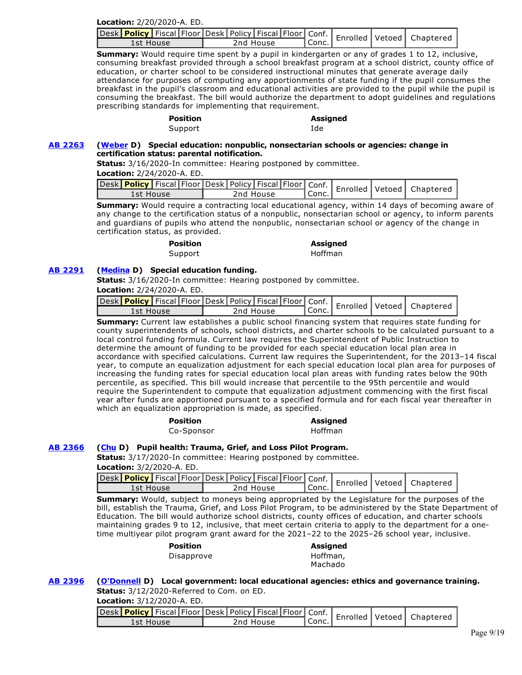|  | Location: 2/20/2020-A. ED. |
|--|----------------------------|
|--|----------------------------|

| and Chapter (Policy   Fiscal   Floor   Desk   Policy   Fiscal   Floor   Conf.   Enrolled   Vetoed   Chaptered |           |         |  |  |
|---------------------------------------------------------------------------------------------------------------|-----------|---------|--|--|
| 1st House                                                                                                     | 2nd House | ' Conc. |  |  |

**Summary:** Would require time spent by a pupil in kindergarten or any of grades 1 to 12, inclusive, consuming breakfast provided through a school breakfast program at a school district, county office of education, or charter school to be considered instructional minutes that generate average daily attendance for purposes of computing any apportionments of state funding if the pupil consumes the breakfast in the pupil's classroom and educational activities are provided to the pupil while the pupil is consuming the breakfast. The bill would authorize the department to adopt guidelines and regulations prescribing standards for implementing that requirement.

#### **Position Assigned**  Support and Ide

### **[AB 2263](http://ctweb.capitoltrack.com/public/publishbillinfo.aspx?bi=Y4J9vbm4z%2F8A1QiB01K56DRv8HA%2BrqMNtnAPFAlw8H4DEw%2BBSzAWDoMmOi%2BIedrK) [\(Weber](https://a79.asmdc.org/) D) Special education: nonpublic, nonsectarian schools or agencies: change in certification status: parental notification.**

**Status:** 3/16/2020-In committee: Hearing postponed by committee.

**Location:** 2/24/2020-A. ED.

|           |  |           |         |  | Jesk Policy   Fiscal Floor Desk Policy   Fiscal   Floor   Conf.   Enrolled   Vetoed   Chapterer |
|-----------|--|-----------|---------|--|-------------------------------------------------------------------------------------------------|
| 1st House |  | 2nd House | ! Conc. |  |                                                                                                 |

**Summary:** Would require a contracting local educational agency, within 14 days of becoming aware of any change to the certification status of a nonpublic, nonsectarian school or agency, to inform parents and guardians of pupils who attend the nonpublic, nonsectarian school or agency of the change in certification status, as provided.

# **Position Assigned**

Support Hoffman

# **[AB 2291](http://ctweb.capitoltrack.com/public/publishbillinfo.aspx?bi=U%2BD5hhsppf99hIf8Glv8AmdFg0JaBSoui5jLUr4zOuzC0nZSGMzytd6ekRY2JKv5) [\(Medina](https://a61.asmdc.org/) D) Special education funding.**

**Status:** 3/16/2020-In committee: Hearing postponed by committee.

**Location:** 2/24/2020-A. ED.

| Jesk Policy Fiscal Floor Desk   Policy   Fiscal   Floor   Conf.   Enrolled   Vetoed   Chapterer |           |         |  |  |
|-------------------------------------------------------------------------------------------------|-----------|---------|--|--|
| 1st House                                                                                       | 2nd House | ' Conc. |  |  |

**Summary:** Current law establishes a public school financing system that requires state funding for county superintendents of schools, school districts, and charter schools to be calculated pursuant to a local control funding formula. Current law requires the Superintendent of Public Instruction to determine the amount of funding to be provided for each special education local plan area in accordance with specified calculations. Current law requires the Superintendent, for the 2013–14 fiscal year, to compute an equalization adjustment for each special education local plan area for purposes of increasing the funding rates for special education local plan areas with funding rates below the 90th percentile, as specified. This bill would increase that percentile to the 95th percentile and would require the Superintendent to compute that equalization adjustment commencing with the first fiscal year after funds are apportioned pursuant to a specified formula and for each fiscal year thereafter in which an equalization appropriation is made, as specified.

### **Position Assigned**  Co-Sponsor **Hoffman**

# **[AB 2366](http://ctweb.capitoltrack.com/public/publishbillinfo.aspx?bi=Dye05okEMS5sE7%2FwWlWaokzdWus08QB%2B5ax6iJZjaRGLO1yXXEizCWcFm9H4Vj7L) [\(Chu](https://a25.asmdc.org/) D) Pupil health: Trauma, Grief, and Loss Pilot Program.**

**Status:** 3/17/2020-In committee: Hearing postponed by committee.

**Location:** 3/2/2020-A. ED.

| 1st House | 2nd House | ' Conc. |  |  |
|-----------|-----------|---------|--|--|

**Summary:** Would, subject to moneys being appropriated by the Legislature for the purposes of the bill, establish the Trauma, Grief, and Loss Pilot Program, to be administered by the State Department of Education. The bill would authorize school districts, county offices of education, and charter schools maintaining grades 9 to 12, inclusive, that meet certain criteria to apply to the department for a onetime multiyear pilot program grant award for the 2021–22 to the 2025–26 school year, inclusive.

| <b>Position</b> | <b>Assigned</b> |
|-----------------|-----------------|
| Disapprove      | Hoffman,        |
|                 | Machado         |

### **[AB 2396](http://ctweb.capitoltrack.com/public/publishbillinfo.aspx?bi=DwPfyZH2qRLH4IXoTi4s234sSIodIFUnegD786HQycKMJDqkA72ODEUloMX%2BvDo9) [\(O'Donnell](https://a70.asmdc.org/) D) Local government: local educational agencies: ethics and governance training. Status:** 3/12/2020-Referred to Com. on ED.

**Location:** 3/12/2020-A. ED.

| Desk Policy   Fiscal   Floor Desk   Policy   Fiscal   Floor   Conf.   Enrolled   Vetoed   Chaptered |           |           |  |  |
|-----------------------------------------------------------------------------------------------------|-----------|-----------|--|--|
| 1st House                                                                                           | 2nd House | ' Conc. . |  |  |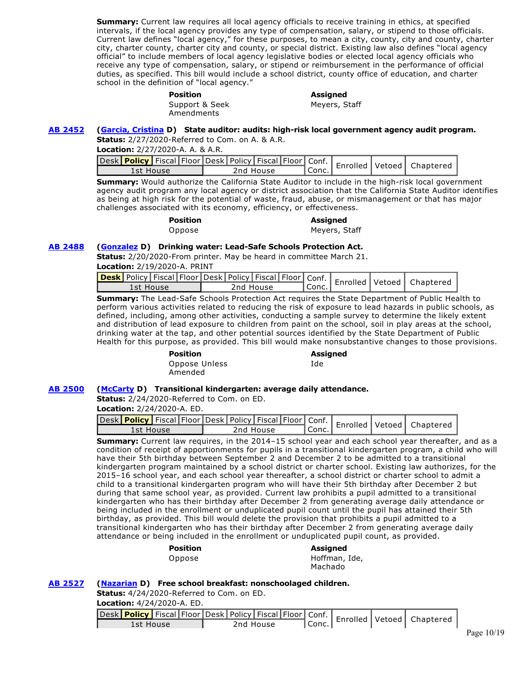**Summary:** Current law requires all local agency officials to receive training in ethics, at specified intervals, if the local agency provides any type of compensation, salary, or stipend to those officials. Current law defines "local agency," for these purposes, to mean a city, county, city and county, charter city, charter county, charter city and county, or special district. Existing law also defines "local agency official" to include members of local agency legislative bodies or elected local agency officials who receive any type of compensation, salary, or stipend or reimbursement in the performance of official duties, as specified. This bill would include a school district, county office of education, and charter school in the definition of "local agency."

| Assigned      |
|---------------|
| Meyers, Staff |
|               |
|               |

# **[AB 2452](http://ctweb.capitoltrack.com/public/publishbillinfo.aspx?bi=qqiyS2CvShwTvq76cGeDJDNIGHfE1QVVIi6LNt57OFQol0Q7XYDuWZLYn5Xng%2Fwd) [\(Garcia, Cristina](https://a58.asmdc.org/) D) State auditor: audits: high-risk local government agency audit program.**

**Status:** 2/27/2020-Referred to Com. on A. & A.R.

| <b>Location:</b> 2/27/2020-A. A. & A.R. |  |  |
|-----------------------------------------|--|--|
|                                         |  |  |

| Jesk Policy   Fiscal   Floor   Desk   Policy   Fiscal   Floor   Conf.   Enrolled   Vetoed   Chaptered |           |  |                    |  |  |
|-------------------------------------------------------------------------------------------------------|-----------|--|--------------------|--|--|
| 1st House                                                                                             | 2nd House |  | <sup>I</sup> Conc. |  |  |

**Summary:** Would authorize the California State Auditor to include in the high-risk local government agency audit program any local agency or district association that the California State Auditor identifies as being at high risk for the potential of waste, fraud, abuse, or mismanagement or that has major challenges associated with its economy, efficiency, or effectiveness.

| Position |  |
|----------|--|
| Oppose   |  |

#### **Position Assigned**  Meyers, Staff

# **[AB 2488](http://ctweb.capitoltrack.com/public/publishbillinfo.aspx?bi=lHyn3dQIe3SfPksGH4cz9l4ZDJ02cgBEJ52q31wRcIy5BMWgPkwyk%2B2q5aDnJhMD) [\(Gonzalez](https://a80.asmdc.org/) D) Drinking water: Lead-Safe Schools Protection Act.**

**Status:** 2/20/2020-From printer. May be heard in committee March 21.

**Location:** 2/19/2020-A. PRINT

|           |  |           |        |  | <b>esk</b> Policy   Fiscal Floor Desk   Policy   Fiscal   Floor   Conf.   Enrolled   Vetoed   Chaptered |
|-----------|--|-----------|--------|--|---------------------------------------------------------------------------------------------------------|
| 1st House |  | 2nd House | `Conc. |  |                                                                                                         |

**Summary:** The Lead-Safe Schools Protection Act requires the State Department of Public Health to perform various activities related to reducing the risk of exposure to lead hazards in public schools, as defined, including, among other activities, conducting a sample survey to determine the likely extent and distribution of lead exposure to children from paint on the school, soil in play areas at the school, drinking water at the tap, and other potential sources identified by the State Department of Public Health for this purpose, as provided. This bill would make nonsubstantive changes to those provisions.

#### **Position Assigned**

Oppose Unless Amended

Ide

# **[AB 2500](http://ctweb.capitoltrack.com/public/publishbillinfo.aspx?bi=FfwaJ7v1JYN1gDoBzEcH8L%2Fze%2BjvuY9%2BlBw6Qo03tCKc6i9FbGWNpM%2FydLx2AOsx) [\(McCarty](https://a07.asmdc.org/) D) Transitional kindergarten: average daily attendance.**

**Status:** 2/24/2020-Referred to Com. on ED.

**Location:** 2/24/2020-A. ED.

| Jesk Policy   Fiscal   Floor Desk   Policy   Fiscal   Floor   Conf.   Enrolled   Vetoed   Chaptered |           |         |  |  |
|-----------------------------------------------------------------------------------------------------|-----------|---------|--|--|
| 1st House                                                                                           | 2nd House | ' Conc. |  |  |

**Summary:** Current law requires, in the 2014–15 school year and each school year thereafter, and as a condition of receipt of apportionments for pupils in a transitional kindergarten program, a child who will have their 5th birthday between September 2 and December 2 to be admitted to a transitional kindergarten program maintained by a school district or charter school. Existing law authorizes, for the 2015–16 school year, and each school year thereafter, a school district or charter school to admit a child to a transitional kindergarten program who will have their 5th birthday after December 2 but during that same school year, as provided. Current law prohibits a pupil admitted to a transitional kindergarten who has their birthday after December 2 from generating average daily attendance or being included in the enrollment or unduplicated pupil count until the pupil has attained their 5th birthday, as provided. This bill would delete the provision that prohibits a pupil admitted to a transitional kindergarten who has their birthday after December 2 from generating average daily attendance or being included in the enrollment or unduplicated pupil count, as provided.

| Assigned                 |
|--------------------------|
| Hoffman, Ide,<br>Machado |
|                          |

# **[AB 2527](http://ctweb.capitoltrack.com/public/publishbillinfo.aspx?bi=D1JrEJYAixETAz8XJdN5C%2Br5R%2BH4otOV3ny4RuSTWYbgXMtitXLmSW9lFC%2FD6tOa) [\(Nazarian](https://a46.asmdc.org/) D) Free school breakfast: nonschoolaged children.**

**Status:** 4/24/2020-Referred to Com. on ED.

**Location:** 4/24/2020-A. ED.

| 1st House |  | 2nd House | $\mathsf{Conc.}$ |  |  |
|-----------|--|-----------|------------------|--|--|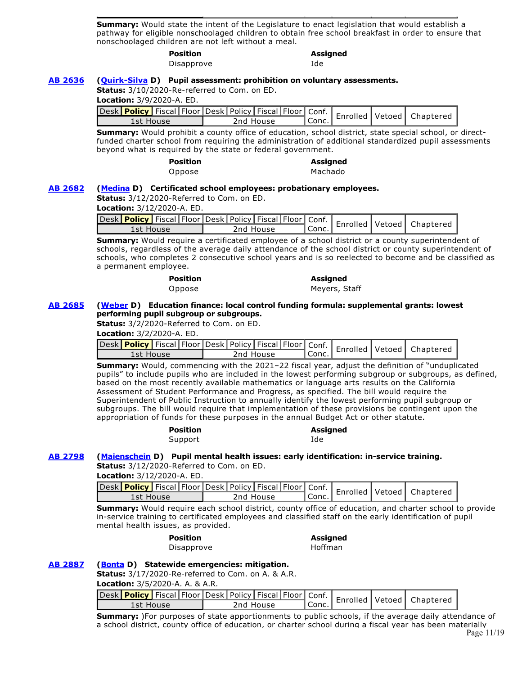**Summary:** Would state the intent of the Legislature to enact legislation that would establish a pathway for eligible nonschoolaged children to obtain free school breakfast in order to ensure that nonschoolaged children are not left without a meal.

> **Position Assigned**  Disapprove Ide

**[AB 2636](http://ctweb.capitoltrack.com/public/publishbillinfo.aspx?bi=3DBUKboeIhJ7ThPxH7WpIsLOfFWYGSGbmCYu3aFmhxnBrAqz8jfoYmKTc%2FaZY6kH) [\(Quirk-Silva](https://a65.asmdc.org/) D) Pupil assessment: prohibition on voluntary assessments.**

**Status:** 3/10/2020-Re-referred to Com. on ED.

**Location:** 3/9/2020-A. ED.

| Sesk Policy   Fiscal Floor Desk   Policy   Fiscal   Floor   Conf.   Enrolled   Vetoed   Chaptered<br>1st House |  |  | 2nd House | `Conc. |  |  |
|----------------------------------------------------------------------------------------------------------------|--|--|-----------|--------|--|--|

**Summary:** Would prohibit a county office of education, school district, state special school, or directfunded charter school from requiring the administration of additional standardized pupil assessments beyond what is required by the state or federal government.

**Position Assigned** 

Oppose Machado

### **[AB 2682](http://ctweb.capitoltrack.com/public/publishbillinfo.aspx?bi=cFVfKcNRqja%2FioaZyPBeMAHjo7yLpBIt66MFGZct3w5SBDmg1k8w52BtskKYgS8M) [\(Medina](https://a61.asmdc.org/) D) Certificated school employees: probationary employees.**

**Status:** 3/12/2020-Referred to Com. on ED.

|  | <b>Location:</b> 3/12/2020-A. ED. |  |
|--|-----------------------------------|--|
|--|-----------------------------------|--|

|           |  |           |  |         |  | Jesk Policy Fiscal Floor Desk Policy Fiscal Floor Conf.   Enrolled Vetoed   Chapterer |
|-----------|--|-----------|--|---------|--|---------------------------------------------------------------------------------------|
| 1st House |  | 2nd House |  | l Conc. |  |                                                                                       |

**Summary:** Would require a certificated employee of a school district or a county superintendent of schools, regardless of the average daily attendance of the school district or county superintendent of schools, who completes 2 consecutive school years and is so reelected to become and be classified as a permanent employee.

#### **Position Assigned**

Oppose Meyers, Staff

#### **[AB 2685](http://ctweb.capitoltrack.com/public/publishbillinfo.aspx?bi=by1ycbdYLGONMDHLoyoAJo73dmM7EnbDpWuphv%2FbfIPXKMHEnWOnvg07zkhp4ql7) [\(Weber](https://a79.asmdc.org/) D) Education finance: local control funding formula: supplemental grants: lowest performing pupil subgroup or subgroups.**

**Status:** 3/2/2020-Referred to Com. on ED.

**Location:** 3/2/2020-A. ED.

| Jesk Policy   Fiscal Floor Desk   Policy   Fiscal   Floor   Conf.   Enrolled   Vetoed   Chapterer |           |        |  |  |
|---------------------------------------------------------------------------------------------------|-----------|--------|--|--|
| 1st House                                                                                         | 2nd House | `Conc. |  |  |

**Summary:** Would, commencing with the 2021–22 fiscal year, adjust the definition of "unduplicated pupils" to include pupils who are included in the lowest performing subgroup or subgroups, as defined, based on the most recently available mathematics or language arts results on the California Assessment of Student Performance and Progress, as specified. The bill would require the Superintendent of Public Instruction to annually identify the lowest performing pupil subgroup or subgroups. The bill would require that implementation of these provisions be contingent upon the appropriation of funds for these purposes in the annual Budget Act or other statute.

> **Position Assigned**  Support Ide

# **[AB 2798](http://ctweb.capitoltrack.com/public/publishbillinfo.aspx?bi=VJTvHSSp9TNFY1Vug%2FBLBRr4muxulpPSq7bXPWvS8YRcMc79pJu%2FyQFhDdXxc1Jl) [\(Maienschein](https://a77.asmdc.org/) D) Pupil mental health issues: early identification: in-service training.**

**Status:** 3/12/2020-Referred to Com. on ED.

**Location:** 3/12/2020-A. ED.

| Lesk Policy   Fiscal Floor Desk   Policy   Fiscal   Floor   Conf.   Enrolled   Vetoed   Chapterer<br>' Conc.<br>2nd House<br>1st House |  |  |  |  |  |  |
|----------------------------------------------------------------------------------------------------------------------------------------|--|--|--|--|--|--|
|                                                                                                                                        |  |  |  |  |  |  |

**Summary:** Would require each school district, county office of education, and charter school to provide in-service training to certificated employees and classified staff on the early identification of pupil mental health issues, as provided.

### **Position Assigned**

Disapprove Hoffman

# **[AB 2887](http://ctweb.capitoltrack.com/public/publishbillinfo.aspx?bi=8g1VTZvGtBMyC00vYjhU5LWLQKMwwSekYsgf26r7iwZCkwhZReAu1utwbe%2F%2BhGAW) [\(Bonta](https://a18.asmdc.org/) D) Statewide emergencies: mitigation.**

**Status:** 3/17/2020-Re-referred to Com. on A. & A.R.

**Location:** 3/5/2020-A. A. & A.R.

|           |  |  |           |                    |  | Jesk Policy Fiscal Floor Desk Policy Fiscal Floor Conf.   Enrolled Vetoed   Chapterer |
|-----------|--|--|-----------|--------------------|--|---------------------------------------------------------------------------------------|
| 1st House |  |  | 2nd House | <sup>'</sup> Conc. |  |                                                                                       |
|           |  |  |           |                    |  |                                                                                       |

**Summary:** )For purposes of state apportionments to public schools, if the average daily attendance of a school district, county office of education, or charter school during a fiscal year has been materially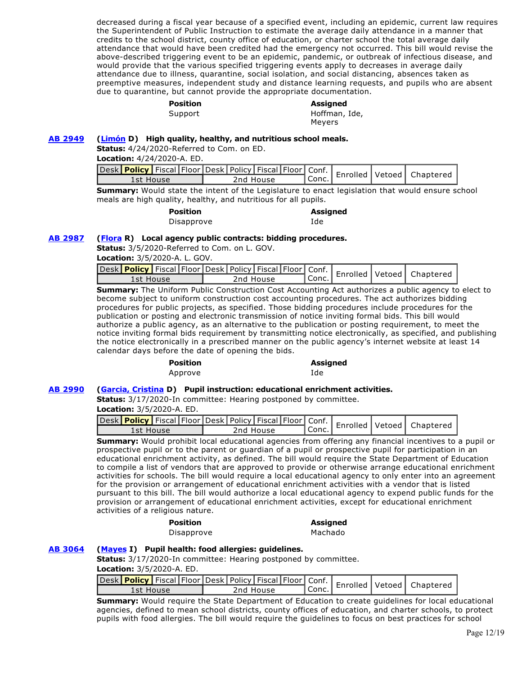decreased during a fiscal year because of a specified event, including an epidemic, current law requires the Superintendent of Public Instruction to estimate the average daily attendance in a manner that credits to the school district, county office of education, or charter school the total average daily attendance that would have been credited had the emergency not occurred. This bill would revise the above-described triggering event to be an epidemic, pandemic, or outbreak of infectious disease, and would provide that the various specified triggering events apply to decreases in average daily attendance due to illness, quarantine, social isolation, and social distancing, absences taken as preemptive measures, independent study and distance learning requests, and pupils who are absent due to quarantine, but cannot provide the appropriate documentation.

# **Position Assigned**

Support Hoffman, Ide, Meyers

## **[AB 2949](http://ctweb.capitoltrack.com/public/publishbillinfo.aspx?bi=u9y5x6Mqe5GDziMO9NxoG1FN6t3OTFo2%2B2FN%2FSDKmme80yV94wMp9SbyH3FluiOT) [\(Limón](https://a37.asmdc.org/) D) High quality, healthy, and nutritious school meals.**

**Status:** 4/24/2020-Referred to Com. on ED.

**Location:** 4/24/2020-A. ED.

| Jesk Policy   Fiscal Floor Desk   Policy   Fiscal   Floor   Conf.   Enrolled   Vetoed   Chaptered ' |           |         |  |  |
|-----------------------------------------------------------------------------------------------------|-----------|---------|--|--|
| 1st House                                                                                           | 2nd House | ' Conc. |  |  |

**Summary:** Would state the intent of the Legislature to enact legislation that would ensure school meals are high quality, healthy, and nutritious for all pupils.

| Position   | Assigned |
|------------|----------|
| Disapprove | Ide      |

### **[AB 2987](http://ctweb.capitoltrack.com/public/publishbillinfo.aspx?bi=UOdFUTCDfW4xJqklz%2F3HCTGhHV95irxpvvh0NiNtVZSP1o5OjppBcyZyBSubUkHl) [\(Flora](https://ad12.asmrc.org/) R) Local agency public contracts: bidding procedures.**

**Status:** 3/5/2020-Referred to Com. on L. GOV.

**Location:** 3/5/2020-A. L. GOV.

|           | Jesk Policy Fiscal Floor Desk   Policy   Fiscal   Floor   Conf.   Enrolled   Vetoed   Chaptered |        |  |  |
|-----------|-------------------------------------------------------------------------------------------------|--------|--|--|
| 1st House | 2nd House                                                                                       | "Conc. |  |  |

**Summary:** The Uniform Public Construction Cost Accounting Act authorizes a public agency to elect to become subject to uniform construction cost accounting procedures. The act authorizes bidding procedures for public projects, as specified. Those bidding procedures include procedures for the publication or posting and electronic transmission of notice inviting formal bids. This bill would authorize a public agency, as an alternative to the publication or posting requirement, to meet the notice inviting formal bids requirement by transmitting notice electronically, as specified, and publishing the notice electronically in a prescribed manner on the public agency's internet website at least 14 calendar days before the date of opening the bids.

# **Position Assigned**

Approve Ide

# **[AB 2990](http://ctweb.capitoltrack.com/public/publishbillinfo.aspx?bi=TkINk3YfKeTnZ41DwUYHlR3lYQm5UluLdfXNi%2F2RM4tVK0RyopoB0FSO3izhJ4JI) [\(Garcia, Cristina](https://a58.asmdc.org/) D) Pupil instruction: educational enrichment activities.**

**Status:** 3/17/2020-In committee: Hearing postponed by committee.

**Location:** 3/5/2020-A. ED.

| <b>Lesk</b> Policy Fiscal Floor Desk   Policy   Fiscal   Floor   Conf.   Enrolled   Vetoed   Chaptered |           |           |  |  |
|--------------------------------------------------------------------------------------------------------|-----------|-----------|--|--|
| 1st House                                                                                              | 2nd House | l Conc. I |  |  |

**Summary:** Would prohibit local educational agencies from offering any financial incentives to a pupil or prospective pupil or to the parent or guardian of a pupil or prospective pupil for participation in an educational enrichment activity, as defined. The bill would require the State Department of Education to compile a list of vendors that are approved to provide or otherwise arrange educational enrichment activities for schools. The bill would require a local educational agency to only enter into an agreement for the provision or arrangement of educational enrichment activities with a vendor that is listed pursuant to this bill. The bill would authorize a local educational agency to expend public funds for the provision or arrangement of educational enrichment activities, except for educational enrichment activities of a religious nature.

# **Position Assigned**

Disapprove Machado

# **[AB 3064](http://ctweb.capitoltrack.com/public/publishbillinfo.aspx?bi=StWdWv0UZg2yuIwpVPaYrWYGxcAigK80oF6iq2GkDiY%2BBabD8cX2jicm3v2%2BqWmN) [\(Mayes](https://ad42.asmrc.org/) I) Pupil health: food allergies: guidelines.**

**Status:** 3/17/2020-In committee: Hearing postponed by committee.

**Location:** 3/5/2020-A. ED.

| Jesk Policy   Fiscal Floor Desk Policy   Fiscal   Floor   Conf.   Enrolled   Vetoed   Chaptere |           |  |           |  |                    |  |  |
|------------------------------------------------------------------------------------------------|-----------|--|-----------|--|--------------------|--|--|
|                                                                                                | 1st House |  | 2nd House |  | <sup>I</sup> Conc. |  |  |

**Summary:** Would require the State Department of Education to create guidelines for local educational agencies, defined to mean school districts, county offices of education, and charter schools, to protect pupils with food allergies. The bill would require the guidelines to focus on best practices for school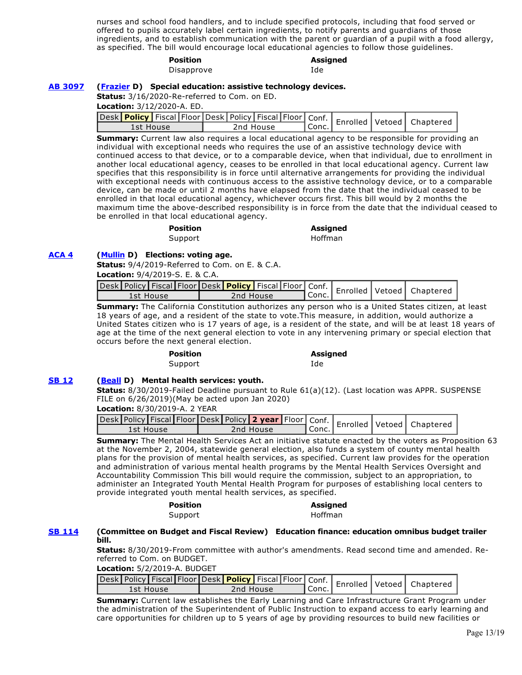nurses and school food handlers, and to include specified protocols, including that food served or offered to pupils accurately label certain ingredients, to notify parents and guardians of those ingredients, and to establish communication with the parent or guardian of a pupil with a food allergy, as specified. The bill would encourage local educational agencies to follow those guidelines.

#### **Position Assigned**

Disapprove Ide

#### **[AB 3097](http://ctweb.capitoltrack.com/public/publishbillinfo.aspx?bi=Ltu%2BQ20FmqIrxsDPO5b%2BjGcoq%2B6olRtZPeuP3Bu0m8y%2FVbq%2F3srHdsjf4sDaD9Ly) [\(Frazier](https://a11.asmdc.org/) D) Special education: assistive technology devices.**

**Status:** 3/16/2020-Re-referred to Com. on ED.

**Location:** 3/12/2020-A. ED.

|           |  |           |  |         |  | Desk Policy   Fiscal Floor Desk Policy   Fiscal   Floor   Conf.   Enrolled   Vetoed   Chapterer |
|-----------|--|-----------|--|---------|--|-------------------------------------------------------------------------------------------------|
| 1st House |  | 2nd House |  | ' Conc. |  |                                                                                                 |

**Summary:** Current law also requires a local educational agency to be responsible for providing an individual with exceptional needs who requires the use of an assistive technology device with continued access to that device, or to a comparable device, when that individual, due to enrollment in another local educational agency, ceases to be enrolled in that local educational agency. Current law specifies that this responsibility is in force until alternative arrangements for providing the individual with exceptional needs with continuous access to the assistive technology device, or to a comparable device, can be made or until 2 months have elapsed from the date that the individual ceased to be enrolled in that local educational agency, whichever occurs first. This bill would by 2 months the maximum time the above-described responsibility is in force from the date that the individual ceased to be enrolled in that local educational agency.

**Position Assigned** 

Support Hoffman

## **[ACA 4](http://ctweb.capitoltrack.com/public/publishbillinfo.aspx?bi=hVsQiACZZkm5iOyaElVWT7q2oXmUyffq%2B9c7HDg2ajZ6vR7UTbuLVSfcqLneISvC) [\(Mullin](https://a22.asmdc.org/) D) Elections: voting age.**

**Status:** 9/4/2019-Referred to Com. on E. & C.A. **Location:** 9/4/2019-S. E. & C.A.

|  |           |  |           |  |        |  | Jesk Policy Fiscal Floor Desk Policy Fiscal Floor Conf.   Enrolled Vetoed   Chaptered |
|--|-----------|--|-----------|--|--------|--|---------------------------------------------------------------------------------------|
|  | 1st House |  | 2nd House |  | ∥Conc. |  |                                                                                       |
|  |           |  |           |  |        |  |                                                                                       |

**Summary:** The California Constitution authorizes any person who is a United States citizen, at least 18 years of age, and a resident of the state to vote.This measure, in addition, would authorize a United States citizen who is 17 years of age, is a resident of the state, and will be at least 18 years of age at the time of the next general election to vote in any intervening primary or special election that occurs before the next general election.

**Position Assigned** 

Support and Ide

# **[SB 12](http://ctweb.capitoltrack.com/public/publishbillinfo.aspx?bi=7PqHX3wu%2BTJ3ZiTkUYkt%2F9hgihv1XKszCF3hy%2FAequbsRBS1Y%2BVPg4rmhD9Hb2Jm) [\(Beall](http://sd15.senate.ca.gov/) D) Mental health services: youth.**

**Status:** 8/30/2019-Failed Deadline pursuant to Rule 61(a)(12). (Last location was APPR. SUSPENSE FILE on 6/26/2019)(May be acted upon Jan 2020)

### **Location:** 8/30/2019-A. 2 YEAR

| Jesk Policy Fiscal Floor Desk Policy 2 year Floor Conf.   Enrolled Vetoed   Chaptered ' |           |         |  |  |
|-----------------------------------------------------------------------------------------|-----------|---------|--|--|
| 1st House                                                                               | 2nd House | l Conc. |  |  |

**Summary:** The Mental Health Services Act an initiative statute enacted by the voters as Proposition 63 at the November 2, 2004, statewide general election, also funds a system of county mental health plans for the provision of mental health services, as specified. Current law provides for the operation and administration of various mental health programs by the Mental Health Services Oversight and Accountability Commission This bill would require the commission, subject to an appropriation, to administer an Integrated Youth Mental Health Program for purposes of establishing local centers to provide integrated youth mental health services, as specified.

#### **Position Assigned**  Support Hoffman

# **[SB 114](http://ctweb.capitoltrack.com/public/publishbillinfo.aspx?bi=0t1lA2GKaslLvSYJsg7Ky%2FDkIWk5brUgXvn3XiyyO9DNxtzpXQyljt6iAhNeLmkp) (Committee on Budget and Fiscal Review) Education finance: education omnibus budget trailer bill.**

**Status:** 8/30/2019-From committee with author's amendments. Read second time and amended. Rereferred to Com. on BUDGET.

**Location:** 5/2/2019-A. BUDGET

| 1st House |  | 2nd House |  | ¶ Conc. . |  |  |
|-----------|--|-----------|--|-----------|--|--|

**Summary:** Current law establishes the Early Learning and Care Infrastructure Grant Program under the administration of the Superintendent of Public Instruction to expand access to early learning and care opportunities for children up to 5 years of age by providing resources to build new facilities or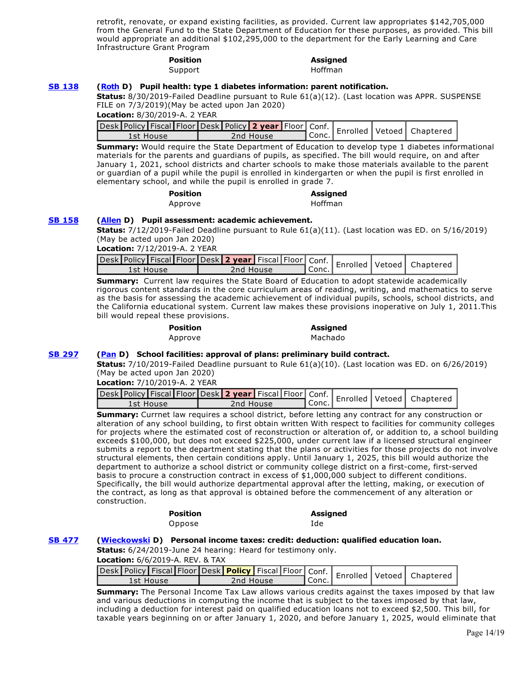retrofit, renovate, or expand existing facilities, as provided. Current law appropriates \$142,705,000 from the General Fund to the State Department of Education for these purposes, as provided. This bill would appropriate an additional \$102,295,000 to the department for the Early Learning and Care Infrastructure Grant Program

# **Position Assigned**

Support Hoffman

#### **[SB 138](http://ctweb.capitoltrack.com/public/publishbillinfo.aspx?bi=8jCIyOSCaMMZlVuUg0M4zEz%2BiEOOhz9Fp1THxgtRPd%2BInN7035A5ljtF%2FMIhgkqX) [\(Roth](http://sd31.senate.ca.gov/) D) Pupil health: type 1 diabetes information: parent notification.**

**Status:** 8/30/2019-Failed Deadline pursuant to Rule 61(a)(12). (Last location was APPR. SUSPENSE FILE on 7/3/2019)(May be acted upon Jan 2020)

**Location:** 8/30/2019-A. 2 YEAR

| Jesk Policy Fiscal Floor Desk   Policy 2 year   Floor   Conf.   Enrolled   Vetoed   Chapterer |  |           |                             |  |  |
|-----------------------------------------------------------------------------------------------|--|-----------|-----------------------------|--|--|
| 1st House                                                                                     |  | 2nd House | $\mathsf{UConc}_\mathsf{L}$ |  |  |

**Summary:** Would require the State Department of Education to develop type 1 diabetes informational materials for the parents and guardians of pupils, as specified. The bill would require, on and after January 1, 2021, school districts and charter schools to make those materials available to the parent or guardian of a pupil while the pupil is enrolled in kindergarten or when the pupil is first enrolled in elementary school, and while the pupil is enrolled in grade 7.

| Position |  |
|----------|--|
| Approve  |  |

#### **Position Assigned**  Hoffman

### **[SB 158](http://ctweb.capitoltrack.com/public/publishbillinfo.aspx?bi=3skXtvBXcIew%2FUOImRbAfqPQ6Dyb3tc72U%2B8dGWAzAlvQx6Dhe9%2FNeYKxxmyIQjw) [\(Allen](http://sd26.senate.ca.gov/) D) Pupil assessment: academic achievement.**

**Status:** 7/12/2019-Failed Deadline pursuant to Rule 61(a)(11). (Last location was ED. on 5/16/2019) (May be acted upon Jan 2020)

**Location:** 7/12/2019-A. 2 YEAR

| Jesk Policy Fiscal Floor Desk 2 year Fiscal Floor Conf.   Enrolled Vetoed   Chapterer |           |         |  |  |
|---------------------------------------------------------------------------------------|-----------|---------|--|--|
| 1st House                                                                             | 2nd House | I Conc. |  |  |

**Summary:** Current law requires the State Board of Education to adopt statewide academically rigorous content standards in the core curriculum areas of reading, writing, and mathematics to serve as the basis for assessing the academic achievement of individual pupils, schools, school districts, and the California educational system. Current law makes these provisions inoperative on July 1, 2011.This bill would repeal these provisions.

| <b>Position</b> | Assigned |
|-----------------|----------|
| Approve         | Machado  |

### **[SB 297](http://ctweb.capitoltrack.com/public/publishbillinfo.aspx?bi=hgruZMTWrnBFcyErdGJUdhe3KRnsNmz0f5q0CH0BAUbyAqdLY22ADQoNqMxSKOqA) [\(Pan](http://sd06.senate.ca.gov/) D) School facilities: approval of plans: preliminary build contract.**

**Status:** 7/10/2019-Failed Deadline pursuant to Rule 61(a)(10). (Last location was ED. on 6/26/2019) (May be acted upon Jan 2020)

**Location:** 7/10/2019-A. 2 YEAR

| Jesk Policy Fiscal Floor Desk 2 year Fiscal Floor Conf.   Enrolled Vetoed   Chaptered ' |           |         |  |  |
|-----------------------------------------------------------------------------------------|-----------|---------|--|--|
| 1st House                                                                               | 2nd House | ' Conc. |  |  |

**Summary:** Currnet law requires a school district, before letting any contract for any construction or alteration of any school building, to first obtain written With respect to facilities for community colleges for projects where the estimated cost of reconstruction or alteration of, or addition to, a school building exceeds \$100,000, but does not exceed \$225,000, under current law if a licensed structural engineer submits a report to the department stating that the plans or activities for those projects do not involve structural elements, then certain conditions apply. Until January 1, 2025, this bill would authorize the department to authorize a school district or community college district on a first-come, first-served basis to procure a construction contract in excess of \$1,000,000 subject to different conditions. Specifically, the bill would authorize departmental approval after the letting, making, or execution of the contract, as long as that approval is obtained before the commencement of any alteration or construction.

> **Position Assigned**  Oppose Ide

### **[SB 477](http://ctweb.capitoltrack.com/public/publishbillinfo.aspx?bi=%2B4x5MhxQ2EVsz2oi1wWeapwqYDS81ZKJhWEFbher8J3ng1R3CABxx%2FoCMzlS8RN4) [\(Wieckowski](http://sd10.senate.ca.gov/) D) Personal income taxes: credit: deduction: qualified education loan.**

**Status:** 6/24/2019-June 24 hearing: Heard for testimony only.

**Location:** 6/6/2019-A. REV. & TAX

| Jesk Policy Fiscal Floor Desk Policy Fiscal Floor Conf.   Enrolled Vetoed   Chapterer |           |          |  |  |
|---------------------------------------------------------------------------------------|-----------|----------|--|--|
| 1st House                                                                             | 2nd House | Il Conc. |  |  |

**Summary:** The Personal Income Tax Law allows various credits against the taxes imposed by that law and various deductions in computing the income that is subject to the taxes imposed by that law, including a deduction for interest paid on qualified education loans not to exceed \$2,500. This bill, for taxable years beginning on or after January 1, 2020, and before January 1, 2025, would eliminate that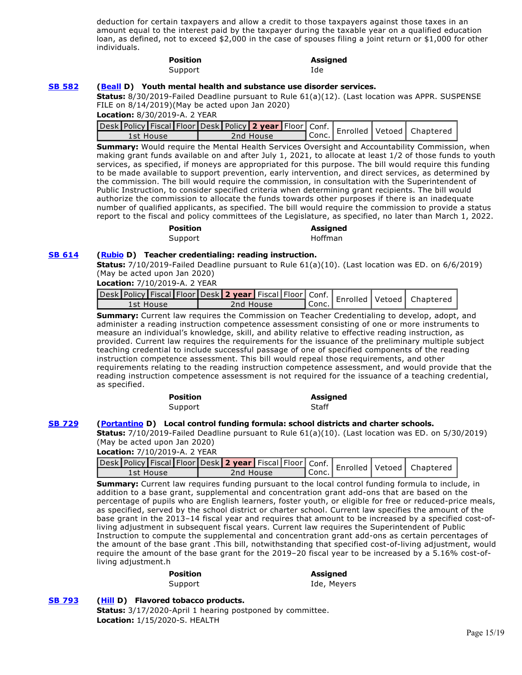deduction for certain taxpayers and allow a credit to those taxpayers against those taxes in an amount equal to the interest paid by the taxpayer during the taxable year on a qualified education loan, as defined, not to exceed \$2,000 in the case of spouses filing a joint return or \$1,000 for other individuals.

#### **Position Assigned**  Support Ide

**[SB 582](http://ctweb.capitoltrack.com/public/publishbillinfo.aspx?bi=eLicvIRBGJPPF0wcLZH%2FHj1N%2F08jv1KSrku4bE7d3QmnbUb0OxY8CQuiO1DjxQYi) [\(Beall](http://sd15.senate.ca.gov/) D) Youth mental health and substance use disorder services.**

**Status:** 8/30/2019-Failed Deadline pursuant to Rule 61(a)(12). (Last location was APPR. SUSPENSE FILE on 8/14/2019)(May be acted upon Jan 2020)

**Location:** 8/30/2019-A. 2 YEAR

| Jesk Policy Fiscal Floor Desk   Policy 2 year   Floor   Conf.   Enrolled   Vetoed   Chapterer |           |         |  |  |
|-----------------------------------------------------------------------------------------------|-----------|---------|--|--|
| 1st House                                                                                     | 2nd House | ¶Conc.⊾ |  |  |

**Summary:** Would require the Mental Health Services Oversight and Accountability Commission, when making grant funds available on and after July 1, 2021, to allocate at least 1/2 of those funds to youth services, as specified, if moneys are appropriated for this purpose. The bill would require this funding to be made available to support prevention, early intervention, and direct services, as determined by the commission. The bill would require the commission, in consultation with the Superintendent of Public Instruction, to consider specified criteria when determining grant recipients. The bill would authorize the commission to allocate the funds towards other purposes if there is an inadequate number of qualified applicants, as specified. The bill would require the commission to provide a status report to the fiscal and policy committees of the Legislature, as specified, no later than March 1, 2022.

# Support Hoffman

**[SB 614](http://ctweb.capitoltrack.com/public/publishbillinfo.aspx?bi=srhTM7K95PokHz1c2cquTpN3u7%2FboupfUd6mi7WV%2FXBomdEOl3Sxy0lFyN37mDOR) [\(Rubio](http://sd22.senate.ca.gov/) D) Teacher credentialing: reading instruction. Status:** 7/10/2019-Failed Deadline pursuant to Rule 61(a)(10). (Last location was ED. on 6/6/2019)

**Position Assigned** 

(May be acted upon Jan 2020)

**Location:** 7/10/2019-A. 2 YEAR

| Jesk Policy Fiscal Floor Desk 2 year Fiscal Floor Conf.   Enrolled Vetoed   Chapterer |           |           |  |  |
|---------------------------------------------------------------------------------------|-----------|-----------|--|--|
| 1st House                                                                             | 2nd House | I Conc. I |  |  |

**Summary:** Current law requires the Commission on Teacher Credentialing to develop, adopt, and administer a reading instruction competence assessment consisting of one or more instruments to measure an individual's knowledge, skill, and ability relative to effective reading instruction, as provided. Current law requires the requirements for the issuance of the preliminary multiple subject teaching credential to include successful passage of one of specified components of the reading instruction competence assessment. This bill would repeal those requirements, and other requirements relating to the reading instruction competence assessment, and would provide that the reading instruction competence assessment is not required for the issuance of a teaching credential, as specified.

| <b>Position</b> | <b>Assigned</b> |
|-----------------|-----------------|
| Support         | Staff           |

### **[SB 729](http://ctweb.capitoltrack.com/public/publishbillinfo.aspx?bi=VSuTMzvflGX%2BmJX7DftIN1%2F8%2FUUbNICg2UNkKcJfLdl77Mf%2BkdHPvtAMsMC90fQk) [\(Portantino](http://sd25.senate.ca.gov/) D) Local control funding formula: school districts and charter schools.**

**Status:** 7/10/2019-Failed Deadline pursuant to Rule 61(a)(10). (Last location was ED. on 5/30/2019) (May be acted upon Jan 2020)

**Location:** 7/10/2019-A. 2 YEAR

| Jesk Policy Fiscal Floor Desk 2 year Fiscal Floor Conf.   Enrolled Vetoed   Chapterer |           |       |  |  |
|---------------------------------------------------------------------------------------|-----------|-------|--|--|
| 1st House                                                                             | 2nd House | Conc. |  |  |

**Summary:** Current law requires funding pursuant to the local control funding formula to include, in addition to a base grant, supplemental and concentration grant add-ons that are based on the percentage of pupils who are English learners, foster youth, or eligible for free or reduced-price meals, as specified, served by the school district or charter school. Current law specifies the amount of the base grant in the 2013–14 fiscal year and requires that amount to be increased by a specified cost-ofliving adjustment in subsequent fiscal years. Current law requires the Superintendent of Public Instruction to compute the supplemental and concentration grant add-ons as certain percentages of the amount of the base grant .This bill, notwithstanding that specified cost-of-living adjustment, would require the amount of the base grant for the 2019–20 fiscal year to be increased by a 5.16% cost-ofliving adjustment.h

#### **Position Assigned**  Support and Ide, Meyers

# **[SB 793](http://ctweb.capitoltrack.com/public/publishbillinfo.aspx?bi=ygIw%2FQkq8uRWWdEMM8Rplayinurgx%2FekSSCenTIlQaz7FlmDwilnVatc8G36h%2FNH) [\(Hill](http://sd13.senate.ca.gov/) D) Flavored tobacco products.**

**Status:** 3/17/2020-April 1 hearing postponed by committee. **Location:** 1/15/2020-S. HEALTH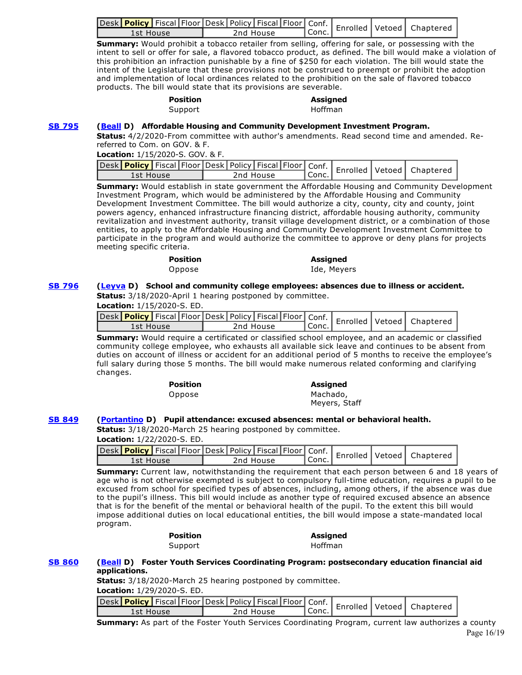| Jesk Policy   Fiscal   Floor Desk   Policy   Fiscal   Floor   Conf.   Enrolled   Vetoed   Chaptere |           |           |  |  |
|----------------------------------------------------------------------------------------------------|-----------|-----------|--|--|
| 1st House                                                                                          | 2nd House | l Conc. I |  |  |

**Summary:** Would prohibit a tobacco retailer from selling, offering for sale, or possessing with the intent to sell or offer for sale, a flavored tobacco product, as defined. The bill would make a violation of this prohibition an infraction punishable by a fine of \$250 for each violation. The bill would state the intent of the Legislature that these provisions not be construed to preempt or prohibit the adoption and implementation of local ordinances related to the prohibition on the sale of flavored tobacco products. The bill would state that its provisions are severable.

| <b>Position</b> | <b>Assigned</b> |
|-----------------|-----------------|
| Support         | Hoffman         |

## **[SB 795](http://ctweb.capitoltrack.com/public/publishbillinfo.aspx?bi=GxmP%2F1f7ASgpAWudQcueXrKf6AwDS1lMAg7HDwbfirt5A1rgazJVCXLEP7mtjLBj) [\(Beall](http://sd15.senate.ca.gov/) D) Affordable Housing and Community Development Investment Program.**

**Status:** 4/2/2020-From committee with author's amendments. Read second time and amended. Rereferred to Com. on GOV. & F.

**Location:** 1/15/2020-S. GOV. & F.

|           |  |  |           |         |  | Jesk Policy   Fiscal   Floor Desk   Policy   Fiscal   Floor   Conf.   Enrolled   Vetoed   Chaptered |
|-----------|--|--|-----------|---------|--|-----------------------------------------------------------------------------------------------------|
| 1st House |  |  | 2nd House | ' Conc. |  |                                                                                                     |

**Summary:** Would establish in state government the Affordable Housing and Community Development Investment Program, which would be administered by the Affordable Housing and Community Development Investment Committee. The bill would authorize a city, county, city and county, joint powers agency, enhanced infrastructure financing district, affordable housing authority, community revitalization and investment authority, transit village development district, or a combination of those entities, to apply to the Affordable Housing and Community Development Investment Committee to participate in the program and would authorize the committee to approve or deny plans for projects meeting specific criteria.

| <b>Position</b> | Assigned    |
|-----------------|-------------|
| Oppose          | Ide, Meyers |
|                 |             |

# **[SB 796](http://ctweb.capitoltrack.com/public/publishbillinfo.aspx?bi=JTQ6q%2ByxlOehOaJteTIudRY4Y6gyMfi95LuiQ2rREQGRPb2VE7YX0NW8zejyvego) [\(Leyva](http://sd20.senate.ca.gov/) D) School and community college employees: absences due to illness or accident.**

**Status:** 3/18/2020-April 1 hearing postponed by committee. **Location:** 1/15/2020-S. ED.

|           |  |  |           |         |  | Jesk Policy   Fiscal Floor Desk   Policy   Fiscal   Floor   Conf.   Enrolled   Vetoed   Chapterer |
|-----------|--|--|-----------|---------|--|---------------------------------------------------------------------------------------------------|
| 1st House |  |  | 2nd House | ' Conc. |  |                                                                                                   |
|           |  |  |           |         |  |                                                                                                   |

**Summary:** Would require a certificated or classified school employee, and an academic or classified community college employee, who exhausts all available sick leave and continues to be absent from duties on account of illness or accident for an additional period of 5 months to receive the employee's full salary during those 5 months. The bill would make numerous related conforming and clarifying changes.

# **Position Assigned**  Oppose Machado,

Meyers, Staff

# **[SB 849](http://ctweb.capitoltrack.com/public/publishbillinfo.aspx?bi=1pFirqiA77FQ3cCMjBqYklaR%2FTvF8SJCz4JJ1ckf82RxZ633ehj1OIZBZ96Qgfsi) [\(Portantino](http://sd25.senate.ca.gov/) D) Pupil attendance: excused absences: mental or behavioral health.**

**Status:** 3/18/2020-March 25 hearing postponed by committee.

|           | vesk Policy Fiscal Floor Desk Policy Fiscal Floor Conf. Enrolled Vetoed Chaptered |         |  |  |
|-----------|-----------------------------------------------------------------------------------|---------|--|--|
| 1st House | 2nd House                                                                         | ' Conc. |  |  |

**Summary:** Current law, notwithstanding the requirement that each person between 6 and 18 years of age who is not otherwise exempted is subject to compulsory full-time education, requires a pupil to be excused from school for specified types of absences, including, among others, if the absence was due to the pupil's illness. This bill would include as another type of required excused absence an absence that is for the benefit of the mental or behavioral health of the pupil. To the extent this bill would impose additional duties on local educational entities, the bill would impose a state-mandated local program.

| Positioi |  |
|----------|--|
| Support  |  |

# **Position Assigned**

Hoffman

### **[SB 860](http://ctweb.capitoltrack.com/public/publishbillinfo.aspx?bi=boYprkjcqLtj2MGfUn6o1Hsut%2FHGeW2ZvOhloPGzIkJiSjxNDolQBr6t%2BYkH8dpP) [\(Beall](http://sd15.senate.ca.gov/) D) Foster Youth Services Coordinating Program: postsecondary education financial aid applications.**

**Status:** 3/18/2020-March 25 hearing postponed by committee.

**Location:** 1/29/2020-S. ED.

| Jesk Policy Fiscal Floor Desk Policy Fiscal Floor Conf.   Enrolled Vetoed   Chapterer |           |       |  |  |
|---------------------------------------------------------------------------------------|-----------|-------|--|--|
| 1st House                                                                             | 2nd House | Conc. |  |  |

**Summary:** As part of the Foster Youth Services Coordinating Program, current law authorizes a county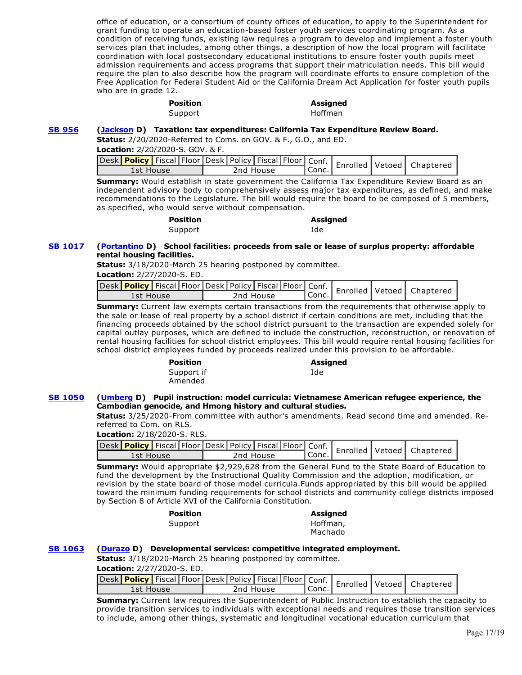office of education, or a consortium of county offices of education, to apply to the Superintendent for grant funding to operate an education-based foster youth services coordinating program. As a condition of receiving funds, existing law requires a program to develop and implement a foster youth services plan that includes, among other things, a description of how the local program will facilitate coordination with local postsecondary educational institutions to ensure foster youth pupils meet admission requirements and access programs that support their matriculation needs. This bill would require the plan to also describe how the program will coordinate efforts to ensure completion of the Free Application for Federal Student Aid or the California Dream Act Application for foster youth pupils who are in grade 12.

# **Position Assigned**  Support Hoffman

### **[SB 956](http://ctweb.capitoltrack.com/public/publishbillinfo.aspx?bi=rIPROV8tqPuhOCwGui9OfWoLCM1t06jc6qaezn0puImLvXB3mgMeekJYdVOxDSV%2B) [\(Jackson](http://sd19.senate.ca.gov/) D) Taxation: tax expenditures: California Tax Expenditure Review Board.**

**Status:** 2/20/2020-Referred to Coms. on GOV. & F., G.O., and ED.

**Location:** 2/20/2020-S. GOV. & F.

| Jesk Policy   Fiscal   Floor   Desk   Policy   Fiscal   Floor   Conf.   Enrolled   Vetoed   Chaptered |           |                    |  |  |
|-------------------------------------------------------------------------------------------------------|-----------|--------------------|--|--|
| 1st House                                                                                             | 2nd House | <sup>I</sup> Conc. |  |  |

**Summary:** Would establish in state government the California Tax Expenditure Review Board as an independent advisory body to comprehensively assess major tax expenditures, as defined, and make recommendations to the Legislature. The bill would require the board to be composed of 5 members, as specified, who would serve without compensation.

| <b>Position</b> | <b>Assigned</b> |
|-----------------|-----------------|
| Support         | Ide             |

## **[SB 1017](http://ctweb.capitoltrack.com/public/publishbillinfo.aspx?bi=DnQMeyAhXqWVlNYCeZtkauewm8qD0NUTS3ujPO7opw44ckc1BvI9hR44Nr5Awdqf) [\(Portantino](http://sd25.senate.ca.gov/) D) School facilities: proceeds from sale or lease of surplus property: affordable rental housing facilities.**

**Status:** 3/18/2020-March 25 hearing postponed by committee.

|  | <b>Location:</b> 2/27/2020-S. ED. |  |
|--|-----------------------------------|--|
|--|-----------------------------------|--|

| Jesk Policy   Fiscal Floor Desk Policy   Fiscal   Floor   Conf.   Enrolled   Vetoed   Chaptered |  |           |        |  |  |
|-------------------------------------------------------------------------------------------------|--|-----------|--------|--|--|
| 1st House                                                                                       |  | 2nd House | ∣Conc. |  |  |

**Summary:** Current law exempts certain transactions from the requirements that otherwise apply to the sale or lease of real property by a school district if certain conditions are met, including that the financing proceeds obtained by the school district pursuant to the transaction are expended solely for capital outlay purposes, which are defined to include the construction, reconstruction, or renovation of rental housing facilities for school district employees. This bill would require rental housing facilities for school district employees funded by proceeds realized under this provision to be affordable.

# **Position Assigned**

Ide

Support if Amended

# **[SB 1050](http://ctweb.capitoltrack.com/public/publishbillinfo.aspx?bi=RvUyD8fG74DKrKYH4Oleu5689MbSteeMs5ev4RiqPPjSNWxrzEeG3suX%2FHIHx3g8) [\(Umberg](https://sd34.senate.ca.gov/) D) Pupil instruction: model curricula: Vietnamese American refugee experience, the Cambodian genocide, and Hmong history and cultural studies.**

**Status:** 3/25/2020-From committee with author's amendments. Read second time and amended. Rereferred to Com. on RLS.

**Location:** 2/18/2020-S. RLS.

|           |  |  |           |         |  | Jesk Policy   Fiscal   Floor   Desk   Policy   Fiscal   Floor   Conf.   Enrolled   Vetoed   Chaptered |
|-----------|--|--|-----------|---------|--|-------------------------------------------------------------------------------------------------------|
| 1st House |  |  | 2nd House | ' Conc. |  |                                                                                                       |

**Summary:** Would appropriate \$2,929,628 from the General Fund to the State Board of Education to fund the development by the Instructional Quality Commission and the adoption, modification, or revision by the state board of those model curricula.Funds appropriated by this bill would be applied toward the minimum funding requirements for school districts and community college districts imposed by Section 8 of Article XVI of the California Constitution.

| Position |  |
|----------|--|
| Support  |  |

#### **Position Assigned**  Hoffman, Machado

# **[SB 1063](http://ctweb.capitoltrack.com/public/publishbillinfo.aspx?bi=fanZZePYvJokoeePMBtr%2BDX7Uv0Dicx8PihWd%2F4KDNjIVQEIiQiMevgNB70dqujQ) [\(Durazo](http://sd24.senate.ca.gov/) D) Developmental services: competitive integrated employment.**

**Status:** 3/18/2020-March 25 hearing postponed by committee. **Location:** 2/27/2020-S. ED.

|           |  |  |           |                     |  | Jesk Policy Fiscal Floor Desk Policy Fiscal Floor Conf.   Enrolled Vetoed   Chaptered |
|-----------|--|--|-----------|---------------------|--|---------------------------------------------------------------------------------------|
| 1st House |  |  | 2nd House | <sup>I</sup> Conc., |  |                                                                                       |

**Summary:** Current law requires the Superintendent of Public Instruction to establish the capacity to provide transition services to individuals with exceptional needs and requires those transition services to include, among other things, systematic and longitudinal vocational education curriculum that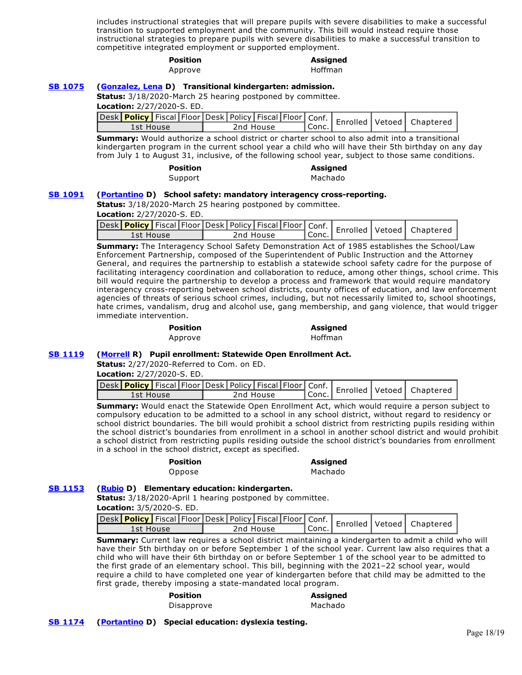includes instructional strategies that will prepare pupils with severe disabilities to make a successful transition to supported employment and the community. This bill would instead require those instructional strategies to prepare pupils with severe disabilities to make a successful transition to competitive integrated employment or supported employment.

|                | <b>Position</b>                                                                                                                                                                                         |           | <b>Assigned</b><br><b>Hoffman</b> |  |                               |
|----------------|---------------------------------------------------------------------------------------------------------------------------------------------------------------------------------------------------------|-----------|-----------------------------------|--|-------------------------------|
|                | Approve                                                                                                                                                                                                 |           |                                   |  |                               |
| <b>SB 1075</b> | (Gonzalez, Lena D) Transitional kindergarten: admission.                                                                                                                                                |           |                                   |  |                               |
|                | <b>Status:</b> 3/18/2020-March 25 hearing postponed by committee.<br>Location: 2/27/2020-S. ED.                                                                                                         |           |                                   |  |                               |
|                | Desk <mark>  Policy  </mark> Fiscal   Floor   Desk   Policy   Fiscal   Floor   Conf.                                                                                                                    |           |                                   |  |                               |
|                | 1st House                                                                                                                                                                                               | 2nd House | Conc.                             |  | Enrolled   Vetoed   Chaptered |
|                | <b>Summary:</b> Would authorize a school district or charter school to also admit into a transitional<br>kindergarten program in the current school vear a child who will have their 5th birthday on an |           |                                   |  |                               |

kindergarten program in the current school year a child who will have their 5th birthday on any day from July 1 to August 31, inclusive, of the following school year, subject to those same conditions.

| <b>Position</b> | <b>Assigned</b> |
|-----------------|-----------------|
| Support         | Machado         |

### **[SB 1091](http://ctweb.capitoltrack.com/public/publishbillinfo.aspx?bi=SweanYq42cNOiKUdeWdypn3bGjB1YyvJOM%2BSyR%2BhdEzEDlbdPIlwIcHcnkpls0jT) [\(Portantino](http://sd25.senate.ca.gov/) D) School safety: mandatory interagency cross-reporting.**

**Status:** 3/18/2020-March 25 hearing postponed by committee.

**Location:** 2/27/2020-S. ED.

| Desk Policy Fiscal Floor Desk Policy Fiscal Floor Conf.   Enrolled   Vetoed   Chaptered |           |       |  |  |
|-----------------------------------------------------------------------------------------|-----------|-------|--|--|
| 1st House                                                                               | 2nd House | Conc. |  |  |

**Summary:** The Interagency School Safety Demonstration Act of 1985 establishes the School/Law Enforcement Partnership, composed of the Superintendent of Public Instruction and the Attorney General, and requires the partnership to establish a statewide school safety cadre for the purpose of facilitating interagency coordination and collaboration to reduce, among other things, school crime. This bill would require the partnership to develop a process and framework that would require mandatory interagency cross-reporting between school districts, county offices of education, and law enforcement agencies of threats of serious school crimes, including, but not necessarily limited to, school shootings, hate crimes, vandalism, drug and alcohol use, gang membership, and gang violence, that would trigger immediate intervention.

| <b>Position</b> | <b>Assigned</b> |
|-----------------|-----------------|
| Approve         | Hoffman         |

# **[SB 1119](http://ctweb.capitoltrack.com/public/publishbillinfo.aspx?bi=fDZ4WideSVOyXPJXv1IVLqAwJaEBtZHjVCffD3rFa0gCwKdB56z6xsI4WxUnJSrO) [\(Morrell](http://district23.cssrc.us/) R) Pupil enrollment: Statewide Open Enrollment Act.**

**Status:** 2/27/2020-Referred to Com. on ED.

**Location:** 2/27/2020-S. ED.

| vesk Policy   Fiscal   Floor   Desk   Policy   Fiscal   Floor   Conf.   Enrolled   Vetoed   Chaptered |           |         |  |  |
|-------------------------------------------------------------------------------------------------------|-----------|---------|--|--|
| 1st House                                                                                             | 2nd House | ' Conc. |  |  |

**Summary:** Would enact the Statewide Open Enrollment Act, which would require a person subject to compulsory education to be admitted to a school in any school district, without regard to residency or school district boundaries. The bill would prohibit a school district from restricting pupils residing within the school district's boundaries from enrollment in a school in another school district and would prohibit a school district from restricting pupils residing outside the school district's boundaries from enrollment in a school in the school district, except as specified.

**Position Assigned**  Oppose Machado

# **[SB 1153](http://ctweb.capitoltrack.com/public/publishbillinfo.aspx?bi=98PymQcofuHg5vQ6dw9hVfp31jxZuCBDF0wtD4ZWICwBiTPg7rP2rsP5TTiidPVO) [\(Rubio](http://sd22.senate.ca.gov/) D) Elementary education: kindergarten.**

**Status:** 3/18/2020-April 1 hearing postponed by committee. **Location:** 3/5/2020-S. ED.

| 1st House | 2nd House | l Conc. |  |  |
|-----------|-----------|---------|--|--|

**Summary:** Current law requires a school district maintaining a kindergarten to admit a child who will have their 5th birthday on or before September 1 of the school year. Current law also requires that a child who will have their 6th birthday on or before September 1 of the school year to be admitted to the first grade of an elementary school. This bill, beginning with the 2021–22 school year, would require a child to have completed one year of kindergarten before that child may be admitted to the first grade, thereby imposing a state-mandated local program.

# **Position Assigned**

Disapprove Machado